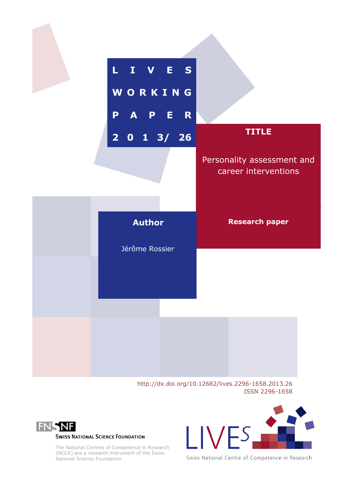

http://dx.doi.org/10.12682/lives.2296-1658.2013.26 ISSN 2296-1658



**SWISS NATIONAL SCIENCE FOUNDATION** 

The National Centres of Competence in Research (NCCR) are a research instrument of the Swiss National Science Foundation.



Swiss National Centre of Competence in Research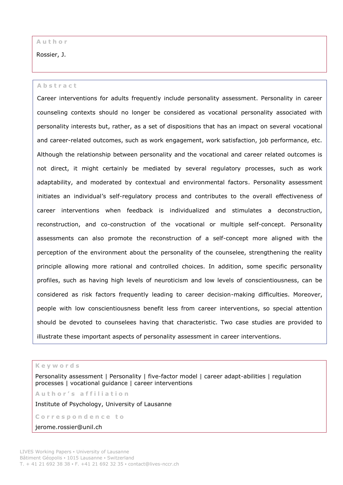### **A u t h o r**

Rossier, J.

#### **A b s t r a c t**

Career interventions for adults frequently include personality assessment. Personality in career counseling contexts should no longer be considered as vocational personality associated with personality interests but, rather, as a set of dispositions that has an impact on several vocational and career-related outcomes, such as work engagement, work satisfaction, job performance, etc. Although the relationship between personality and the vocational and career related outcomes is not direct, it might certainly be mediated by several regulatory processes, such as work adaptability, and moderated by contextual and environmental factors. Personality assessment initiates an individual's self-regulatory process and contributes to the overall effectiveness of career interventions when feedback is individualized and stimulates a deconstruction, reconstruction, and co-construction of the vocational or multiple self-concept. Personality assessments can also promote the reconstruction of a self-concept more aligned with the perception of the environment about the personality of the counselee, strengthening the reality principle allowing more rational and controlled choices. In addition, some specific personality profiles, such as having high levels of neuroticism and low levels of conscientiousness, can be considered as risk factors frequently leading to career decision-making difficulties. Moreover, people with low conscientiousness benefit less from career interventions, so special attention should be devoted to counselees having that characteristic. Two case studies are provided to illustrate these important aspects of personality assessment in career interventions.

**K e y w o r d s**

Personality assessment | Personality | five-factor model | career adapt-abilities | regulation processes | vocational guidance | career interventions

**A u t h o r ' s a f f i l i a t i o n**

Institute of Psychology, University of Lausanne

Correspondence to

jerome.rossier@unil.ch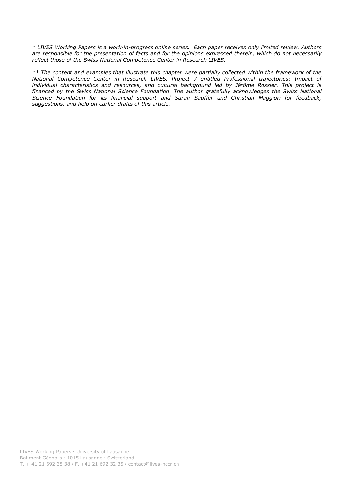*\* LIVES Working Papers is a work-in-progress online series. Each paper receives only limited review. Authors are responsible for the presentation of facts and for the opinions expressed therein, which do not necessarily reflect those of the Swiss National Competence Center in Research LIVES.*

*\*\* The content and examples that illustrate this chapter were partially collected within the framework of the National Competence Center in Research LIVES, Project 7 entitled Professional trajectories: Impact of individual characteristics and resources, and cultural background led by Jérôme Rossier. This project is financed by the Swiss National Science Foundation. The author gratefully acknowledges the Swiss National Science Foundation for its financial support and Sarah Sauffer and Christian Maggiori for feedback, suggestions, and help on earlier drafts of this article.*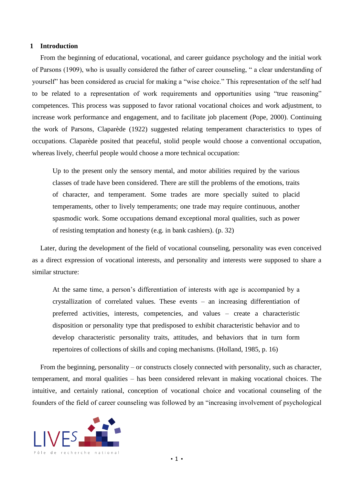#### **1 Introduction**

From the beginning of educational, vocational, and career guidance psychology and the initial work of Parsons (1909), who is usually considered the father of career counseling, " a clear understanding of yourself" has been considered as crucial for making a "wise choice." This representation of the self had to be related to a representation of work requirements and opportunities using "true reasoning" competences. This process was supposed to favor rational vocational choices and work adjustment, to increase work performance and engagement, and to facilitate job placement (Pope, 2000). Continuing the work of Parsons, Claparède (1922) suggested relating temperament characteristics to types of occupations. Claparède posited that peaceful, stolid people would choose a conventional occupation, whereas lively, cheerful people would choose a more technical occupation:

Up to the present only the sensory mental, and motor abilities required by the various classes of trade have been considered. There are still the problems of the emotions, traits of character, and temperament. Some trades are more specially suited to placid temperaments, other to lively temperaments; one trade may require continuous, another spasmodic work. Some occupations demand exceptional moral qualities, such as power of resisting temptation and honesty (e.g. in bank cashiers). (p. 32)

Later, during the development of the field of vocational counseling, personality was even conceived as a direct expression of vocational interests, and personality and interests were supposed to share a similar structure:

At the same time, a person's differentiation of interests with age is accompanied by a crystallization of correlated values. These events – an increasing differentiation of preferred activities, interests, competencies, and values – create a characteristic disposition or personality type that predisposed to exhibit characteristic behavior and to develop characteristic personality traits, attitudes, and behaviors that in turn form repertoires of collections of skills and coping mechanisms. (Holland, 1985, p. 16)

From the beginning, personality – or constructs closely connected with personality, such as character, temperament, and moral qualities – has been considered relevant in making vocational choices. The intuitive, and certainly rational, conception of vocational choice and vocational counseling of the founders of the field of career counseling was followed by an "increasing involvement of psychological

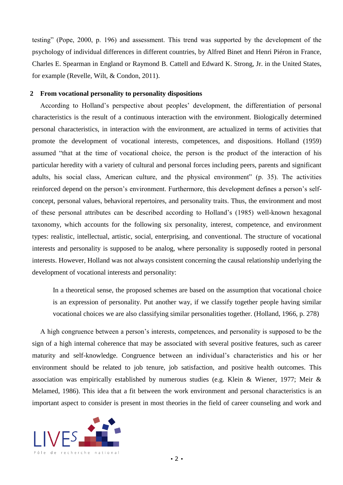testing" (Pope, 2000, p. 196) and assessment. This trend was supported by the development of the psychology of individual differences in different countries, by Alfred Binet and Henri Piéron in France, Charles E. Spearman in England or Raymond B. Cattell and Edward K. Strong, Jr. in the United States, for example (Revelle, Wilt, & Condon, 2011).

# **2 From vocational personality to personality dispositions**

According to Holland's perspective about peoples' development, the differentiation of personal characteristics is the result of a continuous interaction with the environment. Biologically determined personal characteristics, in interaction with the environment, are actualized in terms of activities that promote the development of vocational interests, competences, and dispositions. Holland (1959) assumed "that at the time of vocational choice, the person is the product of the interaction of his particular heredity with a variety of cultural and personal forces including peers, parents and significant adults, his social class, American culture, and the physical environment" (p. 35). The activities reinforced depend on the person's environment. Furthermore, this development defines a person's selfconcept, personal values, behavioral repertoires, and personality traits. Thus, the environment and most of these personal attributes can be described according to Holland's (1985) well-known hexagonal taxonomy, which accounts for the following six personality, interest, competence, and environment types: realistic, intellectual, artistic, social, enterprising, and conventional. The structure of vocational interests and personality is supposed to be analog, where personality is supposedly rooted in personal interests. However, Holland was not always consistent concerning the causal relationship underlying the development of vocational interests and personality:

In a theoretical sense, the proposed schemes are based on the assumption that vocational choice is an expression of personality. Put another way, if we classify together people having similar vocational choices we are also classifying similar personalities together. (Holland, 1966, p. 278)

A high congruence between a person's interests, competences, and personality is supposed to be the sign of a high internal coherence that may be associated with several positive features, such as career maturity and self-knowledge. Congruence between an individual's characteristics and his or her environment should be related to job tenure, job satisfaction, and positive health outcomes. This association was empirically established by numerous studies (e.g. Klein & Wiener, 1977; Meir & Melamed, 1986). This idea that a fit between the work environment and personal characteristics is an important aspect to consider is present in most theories in the field of career counseling and work and

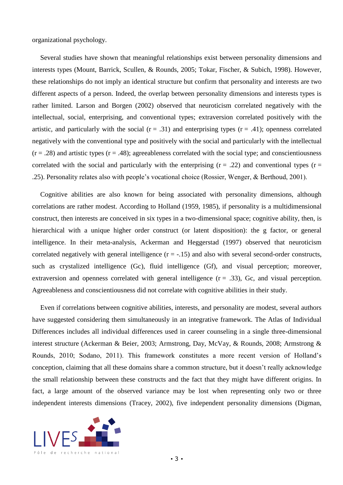organizational psychology.

Several studies have shown that meaningful relationships exist between personality dimensions and interests types (Mount, Barrick, Scullen, & Rounds, 2005; Tokar, Fischer, & Subich, 1998). However, these relationships do not imply an identical structure but confirm that personality and interests are two different aspects of a person. Indeed, the overlap between personality dimensions and interests types is rather limited. Larson and Borgen (2002) observed that neuroticism correlated negatively with the intellectual, social, enterprising, and conventional types; extraversion correlated positively with the artistic, and particularly with the social  $(r = .31)$  and enterprising types  $(r = .41)$ ; openness correlated negatively with the conventional type and positively with the social and particularly with the intellectual  $(r = .28)$  and artistic types  $(r = .48)$ ; agreeableness correlated with the social type; and conscientiousness correlated with the social and particularly with the enterprising  $(r = .22)$  and conventional types  $(r = .22)$ .25). Personality relates also with people's vocational choice (Rossier, Wenger, & Berthoud, 2001).

Cognitive abilities are also known for being associated with personality dimensions, although correlations are rather modest. According to Holland (1959, 1985), if personality is a multidimensional construct, then interests are conceived in six types in a two-dimensional space; cognitive ability, then, is hierarchical with a unique higher order construct (or latent disposition): the g factor, or general intelligence. In their meta-analysis, Ackerman and Heggerstad (1997) observed that neuroticism correlated negatively with general intelligence  $(r = -.15)$  and also with several second-order constructs, such as crystalized intelligence (Gc), fluid intelligence (Gf), and visual perception; moreover, extraversion and openness correlated with general intelligence  $(r = .33)$ , Gc, and visual perception. Agreeableness and conscientiousness did not correlate with cognitive abilities in their study.

Even if correlations between cognitive abilities, interests, and personality are modest, several authors have suggested considering them simultaneously in an integrative framework. The Atlas of Individual Differences includes all individual differences used in career counseling in a single three-dimensional interest structure (Ackerman & Beier, 2003; Armstrong, Day, McVay, & Rounds, 2008; Armstrong & Rounds, 2010; Sodano, 2011). This framework constitutes a more recent version of Holland's conception, claiming that all these domains share a common structure, but it doesn't really acknowledge the small relationship between these constructs and the fact that they might have different origins. In fact, a large amount of the observed variance may be lost when representing only two or three independent interests dimensions (Tracey, 2002), five independent personality dimensions (Digman,

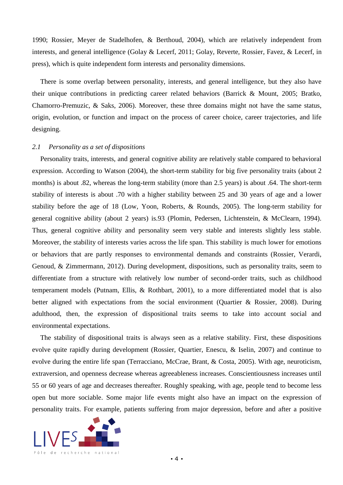1990; Rossier, Meyer de Stadelhofen, & Berthoud, 2004), which are relatively independent from interests, and general intelligence (Golay & Lecerf, 2011; Golay, Reverte, Rossier, Favez, & Lecerf, in press), which is quite independent form interests and personality dimensions.

There is some overlap between personality, interests, and general intelligence, but they also have their unique contributions in predicting career related behaviors (Barrick & Mount, 2005; Bratko, Chamorro-Premuzic, & Saks, 2006). Moreover, these three domains might not have the same status, origin, evolution, or function and impact on the process of career choice, career trajectories, and life designing.

### *2.1 Personality as a set of dispositions*

Personality traits, interests, and general cognitive ability are relatively stable compared to behavioral expression. According to Watson (2004), the short-term stability for big five personality traits (about 2 months) is about .82, whereas the long-term stability (more than 2.5 years) is about .64. The short-term stability of interests is about .70 with a higher stability between 25 and 30 years of age and a lower stability before the age of 18 (Low, Yoon, Roberts, & Rounds, 2005). The long-term stability for general cognitive ability (about 2 years) is.93 (Plomin, Pedersen, Lichtenstein, & McClearn, 1994). Thus, general cognitive ability and personality seem very stable and interests slightly less stable. Moreover, the stability of interests varies across the life span. This stability is much lower for emotions or behaviors that are partly responses to environmental demands and constraints (Rossier, Verardi, Genoud, & Zimmermann, 2012). During development, dispositions, such as personality traits, seem to differentiate from a structure with relatively low number of second-order traits, such as childhood temperament models (Putnam, Ellis, & Rothbart, 2001), to a more differentiated model that is also better aligned with expectations from the social environment (Quartier & Rossier, 2008). During adulthood, then, the expression of dispositional traits seems to take into account social and environmental expectations.

The stability of dispositional traits is always seen as a relative stability. First, these dispositions evolve quite rapidly during development (Rossier, Quartier, Enescu, & Iselin, 2007) and continue to evolve during the entire life span (Terracciano, McCrae, Brant, & Costa, 2005). With age, neuroticism, extraversion, and openness decrease whereas agreeableness increases. Conscientiousness increases until 55 or 60 years of age and decreases thereafter. Roughly speaking, with age, people tend to become less open but more sociable. Some major life events might also have an impact on the expression of personality traits. For example, patients suffering from major depression, before and after a positive

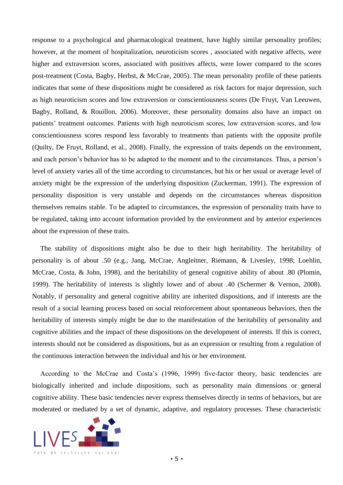response to a psychological and pharmacological treatment, have highly similar personality profiles; however, at the moment of hospitalization, neuroticism scores , associated with negative affects, were higher and extraversion scores, associated with positives affects, were lower compared to the scores post-treatment (Costa, Bagby, Herbst, & McCrae, 2005). The mean personality profile of these patients indicates that some of these dispositions might be considered as risk factors for major depression, such as high neuroticism scores and low extraversion or conscientiousness scores (De Fruyt, Van Leeuwen, Bagby, Rolland, & Rouillon, 2006). Moreover, these personality domains also have an impact on patients' treatment outcomes. Patients with high neuroticism scores, low extraversion scores, and low conscientiousness scores respond less favorably to treatments than patients with the opposite profile (Quilty, De Fruyt, Rolland, et al., 2008). Finally, the expression of traits depends on the environment, and each person's behavior has to be adapted to the moment and to the circumstances. Thus, a person's level of anxiety varies all of the time according to circumstances, but his or her usual or average level of anxiety might be the expression of the underlying disposition (Zuckerman, 1991). The expression of personality disposition is very unstable and depends on the circumstances whereas disposition themselves remains stable. To be adapted to circumstances, the expression of personality traits have to be regulated, taking into account information provided by the environment and by anterior experiences about the expression of these traits.

The stability of dispositions might also be due to their high heritability. The heritability of personality is of about .50 (e.g., Jang, McCrae, Angleitner, Riemann, & Livesley, 1998; Loehlin, McCrae, Costa, & John, 1998), and the heritability of general cognitive ability of about .80 (Plomin, 1999). The heritability of interests is slightly lower and of about .40 (Schermer & Vernon, 2008). Notably, if personality and general cognitive ability are inherited dispositions, and if interests are the result of a social learning process based on social reinforcement about spontaneous behaviors, then the heritability of interests simply might be due to the manifestation of the heritability of personality and cognitive abilities and the impact of these dispositions on the development of interests. If this is correct, interests should not be considered as dispositions, but as an expression or resulting from a regulation of the continuous interaction between the individual and his or her environment.

According to the McCrae and Costa's (1996, 1999) five-factor theory, basic tendencies are biologically inherited and include dispositions, such as personality main dimensions or general cognitive ability. These basic tendencies never express themselves directly in terms of behaviors, but are moderated or mediated by a set of dynamic, adaptive, and regulatory processes. These characteristic

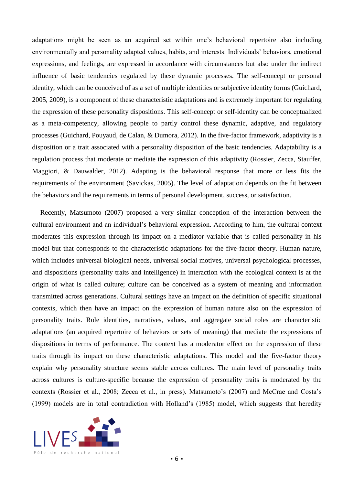adaptations might be seen as an acquired set within one's behavioral repertoire also including environmentally and personality adapted values, habits, and interests. Individuals' behaviors, emotional expressions, and feelings, are expressed in accordance with circumstances but also under the indirect influence of basic tendencies regulated by these dynamic processes. The self-concept or personal identity, which can be conceived of as a set of multiple identities or subjective identity forms (Guichard, 2005, 2009), is a component of these characteristic adaptations and is extremely important for regulating the expression of these personality dispositions. This self-concept or self-identity can be conceptualized as a meta-competency, allowing people to partly control these dynamic, adaptive, and regulatory processes (Guichard, Pouyaud, de Calan, & Dumora, 2012). In the five-factor framework, adaptivity is a disposition or a trait associated with a personality disposition of the basic tendencies. Adaptability is a regulation process that moderate or mediate the expression of this adaptivity (Rossier, Zecca, Stauffer, Maggiori, & Dauwalder, 2012). Adapting is the behavioral response that more or less fits the requirements of the environment (Savickas, 2005). The level of adaptation depends on the fit between the behaviors and the requirements in terms of personal development, success, or satisfaction.

Recently, Matsumoto (2007) proposed a very similar conception of the interaction between the cultural environment and an individual's behavioral expression. According to him, the cultural context moderates this expression through its impact on a mediator variable that is called personality in his model but that corresponds to the characteristic adaptations for the five-factor theory. Human nature, which includes universal biological needs, universal social motives, universal psychological processes, and dispositions (personality traits and intelligence) in interaction with the ecological context is at the origin of what is called culture; culture can be conceived as a system of meaning and information transmitted across generations. Cultural settings have an impact on the definition of specific situational contexts, which then have an impact on the expression of human nature also on the expression of personality traits. Role identities, narratives, values, and aggregate social roles are characteristic adaptations (an acquired repertoire of behaviors or sets of meaning) that mediate the expressions of dispositions in terms of performance. The context has a moderator effect on the expression of these traits through its impact on these characteristic adaptations. This model and the five-factor theory explain why personality structure seems stable across cultures. The main level of personality traits across cultures is culture-specific because the expression of personality traits is moderated by the contexts (Rossier et al., 2008; Zecca et al., in press). Matsumoto's (2007) and McCrae and Costa's (1999) models are in total contradiction with Holland's (1985) model, which suggests that heredity

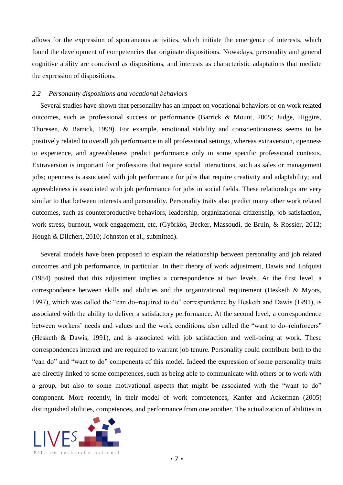allows for the expression of spontaneous activities, which initiate the emergence of interests, which found the development of competencies that originate dispositions. Nowadays, personality and general cognitive ability are conceived as dispositions, and interests as characteristic adaptations that mediate the expression of dispositions.

## *2.2 Personality dispositions and vocational behaviors*

Several studies have shown that personality has an impact on vocational behaviors or on work related outcomes, such as professional success or performance (Barrick & Mount, 2005; Judge, Higgins, Thoresen, & Barrick, 1999). For example, emotional stability and conscientiousness seems to be positively related to overall job performance in all professional settings, whereas extraversion, openness to experience, and agreeableness predict performance only in some specific professional contexts. Extraversion is important for professions that require social interactions, such as sales or management jobs; openness is associated with job performance for jobs that require creativity and adaptability; and agreeableness is associated with job performance for jobs in social fields. These relationships are very similar to that between interests and personality. Personality traits also predict many other work related outcomes, such as counterproductive behaviors, leadership, organizational citizenship, job satisfaction, work stress, burnout, work engagement, etc. (Györkös, Becker, Massoudi, de Bruin, & Rossier, 2012; Hough & Dilchert, 2010; Johnston et al., submitted).

Several models have been proposed to explain the relationship between personality and job related outcomes and job performance, in particular. In their theory of work adjustment, Dawis and Lofquist (1984) posited that this adjustment implies a correspondence at two levels. At the first level, a correspondence between skills and abilities and the organizational requirement (Hesketh & Myors, 1997), which was called the "can do–required to do" correspondence by Hesketh and Dawis (1991), is associated with the ability to deliver a satisfactory performance. At the second level, a correspondence between workers' needs and values and the work conditions, also called the "want to do–reinforcers" (Hesketh & Dawis, 1991), and is associated with job satisfaction and well-being at work. These correspondences interact and are required to warrant job tenure. Personality could contribute both to the "can do" and "want to do" components of this model. Indeed the expression of some personality traits are directly linked to some competences, such as being able to communicate with others or to work with a group, but also to some motivational aspects that might be associated with the "want to do" component. More recently, in their model of work competences, Kanfer and Ackerman (2005) distinguished abilities, competences, and performance from one another. The actualization of abilities in

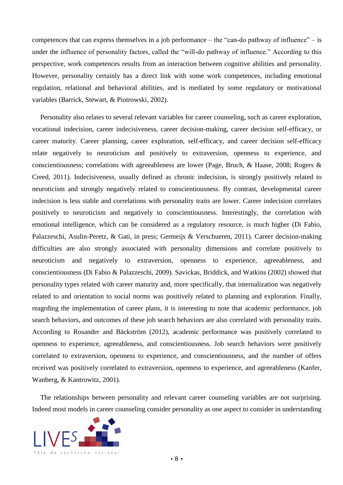competences that can express themselves in a job performance – the "can-do pathway of influence" – is under the influence of personality factors, called the "will-do pathway of influence." According to this perspective, work competences results from an interaction between cognitive abilities and personality. However, personality certainly has a direct link with some work competences, including emotional regulation, relational and behavioral abilities, and is mediated by some regulatory or motivational variables (Barrick, Stewart, & Piotrowski, 2002).

Personality also relates to several relevant variables for career counseling, such as career exploration, vocational indecision, career indecisiveness, career decision-making, career decision self-efficacy, or career maturity. Career planning, career exploration, self-efficacy, and career decision self-efficacy relate negatively to neuroticism and positively to extraversion, openness to experience, and conscientiousness; correlations with agreeableness are lower (Page, Bruch, & Haase, 2008; Rogers & Creed, 2011). Indecisiveness, usually defined as chronic indecision, is strongly positively related to neuroticism and strongly negatively related to conscientiousness. By contrast, developmental career indecision is less stable and correlations with personality traits are lower. Career indecision correlates positively to neuroticism and negatively to conscientiousness. Interestingly, the correlation with emotional intelligence, which can be considered as a regulatory resource, is much higher (Di Fabio, Palazzeschi, Asulin-Peretz, & Gati, in press; Germeijs & Verschueren, 2011). Career decision-making difficulties are also strongly associated with personality dimensions and correlate positively to neuroticism and negatively to extraversion, openness to experience, agreeableness, and conscientiousness (Di Fabio & Palazzeschi, 2009). Savickas, Briddick, and Watkins (2002) showed that personality types related with career maturity and, more specifically, that internalization was negatively related to and orientation to social norms was positively related to planning and exploration. Finally, reagrding the implementation of career plans, it is interesting to note that academic performance, job search behaviors, and outcomes of these job search behaviors are also correlated with personality traits. According to Rosander and Bäckström (2012), academic performance was positively correlated to openness to experience, agreeableness, and conscientiousness. Job search behaviors were positively correlated to extraversion, openness to experience, and conscientiousness, and the number of offers received was positively correlated to extraversion, openness to experience, and agreeableness (Kanfer, Wanberg, & Kantrowitz, 2001).

The relationships between personality and relevant career counseling variables are not surprising. Indeed most models in career counseling consider personality as one aspect to consider in understanding

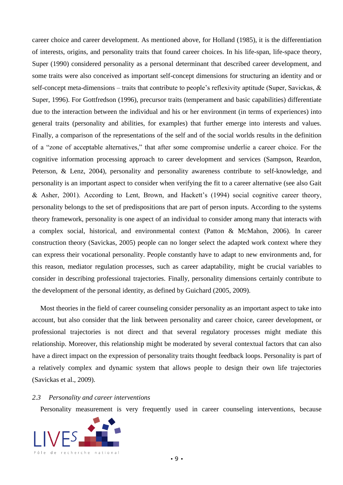career choice and career development. As mentioned above, for Holland (1985), it is the differentiation of interests, origins, and personality traits that found career choices. In his life-span, life-space theory, Super (1990) considered personality as a personal determinant that described career development, and some traits were also conceived as important self-concept dimensions for structuring an identity and or self-concept meta-dimensions – traits that contribute to people's reflexivity aptitude (Super, Savickas, & Super, 1996). For Gottfredson (1996), precursor traits (temperament and basic capabilities) differentiate due to the interaction between the individual and his or her environment (in terms of experiences) into general traits (personality and abilities, for examples) that further emerge into interests and values. Finally, a comparison of the representations of the self and of the social worlds results in the definition of a "zone of acceptable alternatives," that after some compromise underlie a career choice. For the cognitive information processing approach to career development and services (Sampson, Reardon, Peterson, & Lenz, 2004), personality and personality awareness contribute to self-knowledge, and personality is an important aspect to consider when verifying the fit to a career alternative (see also Gait & Asher, 2001). According to Lent, Brown, and Hackett's (1994) social cognitive career theory, personality belongs to the set of predispositions that are part of person inputs. According to the systems theory framework, personality is one aspect of an individual to consider among many that interacts with a complex social, historical, and environmental context (Patton & McMahon, 2006). In career construction theory (Savickas, 2005) people can no longer select the adapted work context where they can express their vocational personality. People constantly have to adapt to new environments and, for this reason, mediator regulation processes, such as career adaptability, might be crucial variables to consider in describing professional trajectories. Finally, personality dimensions certainly contribute to the development of the personal identity, as defined by Guichard (2005, 2009).

Most theories in the field of career counseling consider personality as an important aspect to take into account, but also consider that the link between personality and career choice, career development, or professional trajectories is not direct and that several regulatory processes might mediate this relationship. Moreover, this relationship might be moderated by several contextual factors that can also have a direct impact on the expression of personality traits thought feedback loops. Personality is part of a relatively complex and dynamic system that allows people to design their own life trajectories (Savickas et al., 2009).

### *2.3 Personality and career interventions*

Personality measurement is very frequently used in career counseling interventions, because

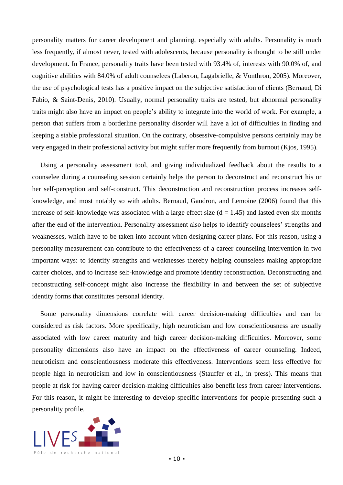personality matters for career development and planning, especially with adults. Personality is much less frequently, if almost never, tested with adolescents, because personality is thought to be still under development. In France, personality traits have been tested with 93.4% of, interests with 90.0% of, and cognitive abilities with 84.0% of adult counselees (Laberon, Lagabrielle, & Vonthron, 2005). Moreover, the use of psychological tests has a positive impact on the subjective satisfaction of clients (Bernaud, Di Fabio, & Saint-Denis, 2010). Usually, normal personality traits are tested, but abnormal personality traits might also have an impact on people's ability to integrate into the world of work. For example, a person that suffers from a borderline personality disorder will have a lot of difficulties in finding and keeping a stable professional situation. On the contrary, obsessive-compulsive persons certainly may be very engaged in their professional activity but might suffer more frequently from burnout (Kjos, 1995).

Using a personality assessment tool, and giving individualized feedback about the results to a counselee during a counseling session certainly helps the person to deconstruct and reconstruct his or her self-perception and self-construct. This deconstruction and reconstruction process increases selfknowledge, and most notably so with adults. Bernaud, Gaudron, and Lemoine (2006) found that this increase of self-knowledge was associated with a large effect size  $(d = 1.45)$  and lasted even six months after the end of the intervention. Personality assessment also helps to identify counselees' strengths and weaknesses, which have to be taken into account when designing career plans. For this reason, using a personality measurement can contribute to the effectiveness of a career counseling intervention in two important ways: to identify strengths and weaknesses thereby helping counselees making appropriate career choices, and to increase self-knowledge and promote identity reconstruction. Deconstructing and reconstructing self-concept might also increase the flexibility in and between the set of subjective identity forms that constitutes personal identity.

Some personality dimensions correlate with career decision-making difficulties and can be considered as risk factors. More specifically, high neuroticism and low conscientiousness are usually associated with low career maturity and high career decision-making difficulties. Moreover, some personality dimensions also have an impact on the effectiveness of career counseling. Indeed, neuroticism and conscientiousness moderate this effectiveness. Interventions seem less effective for people high in neuroticism and low in conscientiousness (Stauffer et al., in press). This means that people at risk for having career decision-making difficulties also benefit less from career interventions. For this reason, it might be interesting to develop specific interventions for people presenting such a personality profile.

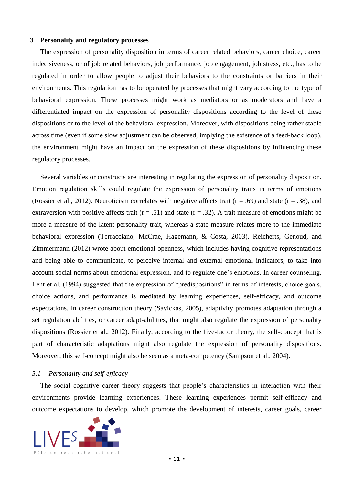#### **3 Personality and regulatory processes**

The expression of personality disposition in terms of career related behaviors, career choice, career indecisiveness, or of job related behaviors, job performance, job engagement, job stress, etc., has to be regulated in order to allow people to adjust their behaviors to the constraints or barriers in their environments. This regulation has to be operated by processes that might vary according to the type of behavioral expression. These processes might work as mediators or as moderators and have a differentiated impact on the expression of personality dispositions according to the level of these dispositions or to the level of the behavioral expression. Moreover, with dispositions being rather stable across time (even if some slow adjustment can be observed, implying the existence of a feed-back loop), the environment might have an impact on the expression of these dispositions by influencing these regulatory processes.

Several variables or constructs are interesting in regulating the expression of personality disposition. Emotion regulation skills could regulate the expression of personality traits in terms of emotions (Rossier et al., 2012). Neuroticism correlates with negative affects trait  $(r = .69)$  and state  $(r = .38)$ , and extraversion with positive affects trait  $(r = .51)$  and state  $(r = .32)$ . A trait measure of emotions might be more a measure of the latent personality trait, whereas a state measure relates more to the immediate behavioral expression (Terracciano, McCrae, Hagemann, & Costa, 2003). Reicherts, Genoud, and Zimmermann (2012) wrote about emotional openness, which includes having cognitive representations and being able to communicate, to perceive internal and external emotional indicators, to take into account social norms about emotional expression, and to regulate one's emotions. In career counseling, Lent et al. (1994) suggested that the expression of "predispositions" in terms of interests, choice goals, choice actions, and performance is mediated by learning experiences, self-efficacy, and outcome expectations. In career construction theory (Savickas, 2005), adaptivity promotes adaptation through a set regulation abilities, or career adapt-abilities, that might also regulate the expression of personality dispositions (Rossier et al., 2012). Finally, according to the five-factor theory, the self-concept that is part of characteristic adaptations might also regulate the expression of personality dispositions. Moreover, this self-concept might also be seen as a meta-competency (Sampson et al., 2004).

#### *3.1 Personality and self-efficacy*

The social cognitive career theory suggests that people's characteristics in interaction with their environments provide learning experiences. These learning experiences permit self-efficacy and outcome expectations to develop, which promote the development of interests, career goals, career

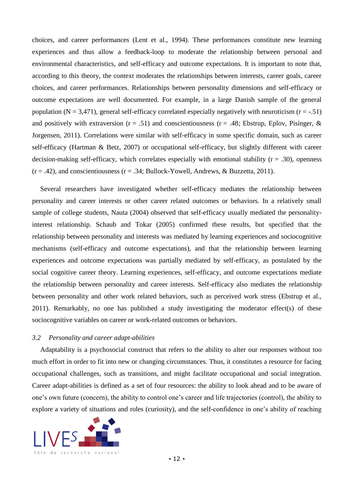choices, and career performances (Lent et al., 1994). These performances constitute new learning experiences and thus allow a feedback-loop to moderate the relationship between personal and environmental characteristics, and self-efficacy and outcome expectations. It is important to note that, according to this theory, the context moderates the relationships between interests, career goals, career choices, and career performances. Relationships between personality dimensions and self-efficacy or outcome expectations are well documented. For example, in a large Danish sample of the general population ( $N = 3,471$ ), general self-efficacy correlated especially negatively with neuroticism ( $r = -0.51$ ) and positively with extraversion ( $r = .51$ ) and conscientiousness ( $r = .48$ ; Ebstrup, Eplov, Pisinger, & Jorgensen, 2011). Correlations were similar with self-efficacy in some specific domain, such as career self-efficacy (Hartman & Betz, 2007) or occupational self-efficacy, but slightly different with career decision-making self-efficacy, which correlates especially with emotional stability ( $r = .30$ ), openness  $(r = .42)$ , and conscientiousness  $(r = .34; Bullock-Yowell, Andrews, & Buzzetta, 2011)$ .

Several researchers have investigated whether self-efficacy mediates the relationship between personality and career interests or other career related outcomes or behaviors. In a relatively small sample of college students, Nauta (2004) observed that self-efficacy usually mediated the personalityinterest relationship. Schaub and Tokar (2005) confirmed these results, but specified that the relationship between personality and interests was mediated by learning experiences and sociocognitive mechanisms (self-efficacy and outcome expectations), and that the relationship between learning experiences and outcome expectations was partially mediated by self-efficacy, as postulated by the social cognitive career theory. Learning experiences, self-efficacy, and outcome expectations mediate the relationship between personality and career interests. Self-efficacy also mediates the relationship between personality and other work related behaviors, such as perceived work stress (Ebstrup et al., 2011). Remarkably, no one has published a study investigating the moderator effect(s) of these sociocognitive variables on career or work-related outcomes or behaviors.

# *3.2 Personality and career adapt-abilities*

Adaptability is a psychosocial construct that refers to the ability to alter our responses without too much effort in order to fit into new or changing circumstances. Thus, it constitutes a resource for facing occupational challenges, such as transitions, and might facilitate occupational and social integration. Career adapt-abilities is defined as a set of four resources: the ability to look ahead and to be aware of one's own future (concern), the ability to control one's career and life trajectories (control), the ability to explore a variety of situations and roles (curiosity), and the self-confidence in one's ability of reaching

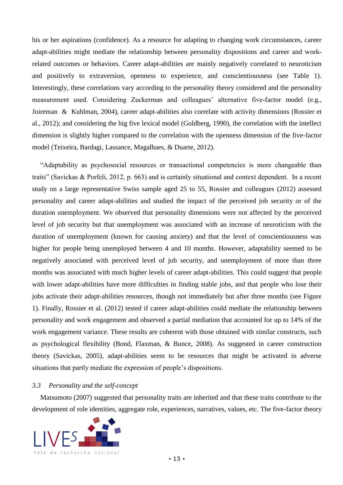his or her aspirations (confidence). As a resource for adapting to changing work circumstances, career adapt-abilities might mediate the relationship between personality dispositions and career and workrelated outcomes or behaviors. Career adapt-abilities are mainly negatively correlated to neuroticism and positively to extraversion, openness to experience, and conscientiousness (see Table 1). Interestingly, these correlations vary according to the personality theory considered and the personality measurement used. Considering Zuckerman and colleagues' alternative five-factor model (e.g., Joireman & Kuhlman, 2004), career adapt-abilities also correlate with activity dimensions (Rossier et al., 2012); and considering the big five lexical model (Goldberg, 1990), the correlation with the intellect dimension is slightly higher compared to the correlation with the openness dimension of the five-factor model (Teixeira, Bardagi, Lassance, Magalhaes, & Duarte, 2012).

"Adaptability as psychosocial resources or transactional competencies is more changeable than traits" (Savickas & Porfeli, 2012, p. 663) and is certainly situational and context dependent. In a recent study on a large representative Swiss sample aged 25 to 55, Rossier and colleagues (2012) assessed personality and career adapt-abilities and studied the impact of the perceived job security or of the duration unemployment. We observed that personality dimensions were not affected by the perceived level of job security but that unemployment was associated with an increase of neuroticism with the duration of unemployment (known for causing anxiety) and that the level of conscientiousness was higher for people being unemployed between 4 and 10 months. However, adaptability seemed to be negatively associated with perceived level of job security, and unemployment of more than three months was associated with much higher levels of career adapt-abilities. This could suggest that people with lower adapt-abilities have more difficulties in finding stable jobs, and that people who lose their jobs activate their adapt-abilities resources, though not immediately but after three months (see Figure 1). Finally, Rossier et al. (2012) tested if career adapt-abilities could mediate the relationship between personality and work engagement and observed a partial mediation that accounted for up to 14% of the work engagement variance. These results are coherent with those obtained with similar constructs, such as psychological flexibility (Bond, Flaxman, & Bunce, 2008). As suggested in career construction theory (Savickas, 2005), adapt-abilities seem to be resources that might be activated in adverse situations that partly mediate the expression of people's dispositions.

### *3.3 Personality and the self-concept*

Matsumoto (2007) suggested that personality traits are inherited and that these traits contribute to the development of role identities, aggregate role, experiences, narratives, values, etc. The five-factor theory

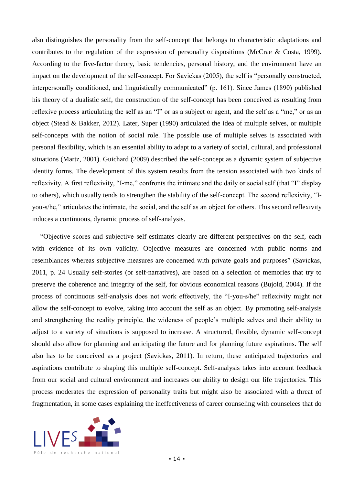also distinguishes the personality from the self-concept that belongs to characteristic adaptations and contributes to the regulation of the expression of personality dispositions (McCrae & Costa, 1999). According to the five-factor theory, basic tendencies, personal history, and the environment have an impact on the development of the self-concept. For Savickas (2005), the self is "personally constructed, interpersonally conditioned, and linguistically communicated" (p. 161). Since James (1890) published his theory of a dualistic self, the construction of the self-concept has been conceived as resulting from reflexive process articulating the self as an "I" or as a subject or agent, and the self as a "me," or as an object (Stead & Bakker, 2012). Later, Super (1990) articulated the idea of multiple selves, or multiple self-concepts with the notion of social role. The possible use of multiple selves is associated with personal flexibility, which is an essential ability to adapt to a variety of social, cultural, and professional situations (Martz, 2001). Guichard (2009) described the self-concept as a dynamic system of subjective identity forms. The development of this system results from the tension associated with two kinds of reflexivity. A first reflexivity, "I-me," confronts the intimate and the daily or social self (that "I" display to others), which usually tends to strengthen the stability of the self-concept. The second reflexivity, "Iyou-s/he," articulates the intimate, the social, and the self as an object for others. This second reflexivity induces a continuous, dynamic process of self-analysis.

"Objective scores and subjective self-estimates clearly are different perspectives on the self, each with evidence of its own validity. Objective measures are concerned with public norms and resemblances whereas subjective measures are concerned with private goals and purposes" (Savickas, 2011, p. 24 Usually self-stories (or self-narratives), are based on a selection of memories that try to preserve the coherence and integrity of the self, for obvious economical reasons (Bujold, 2004). If the process of continuous self-analysis does not work effectively, the "I-you-s/he" reflexivity might not allow the self-concept to evolve, taking into account the self as an object. By promoting self-analysis and strengthening the reality principle, the wideness of people's multiple selves and their ability to adjust to a variety of situations is supposed to increase. A structured, flexible, dynamic self-concept should also allow for planning and anticipating the future and for planning future aspirations. The self also has to be conceived as a project (Savickas, 2011). In return, these anticipated trajectories and aspirations contribute to shaping this multiple self-concept. Self-analysis takes into account feedback from our social and cultural environment and increases our ability to design our life trajectories. This process moderates the expression of personality traits but might also be associated with a threat of fragmentation, in some cases explaining the ineffectiveness of career counseling with counselees that do

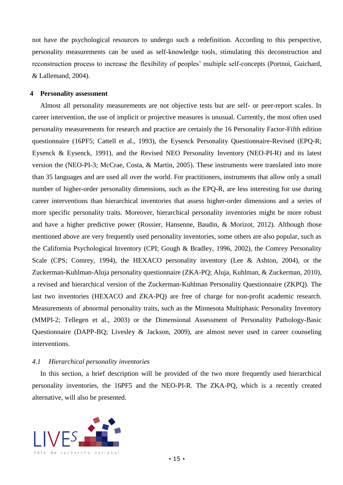not have the psychological resources to undergo such a redefinition. According to this perspective, personality measurements can be used as self-knowledge tools, stimulating this deconstruction and reconstruction process to increase the flexibility of peoples' multiple self-concepts (Portnoi, Guichard, & Lallemand, 2004).

# **4 Personality assessment**

Almost all personality measurements are not objective tests but are self- or peer-report scales. In career intervention, the use of implicit or projective measures is unusual. Currently, the most often used personality measurements for research and practice are certainly the 16 Personality Factor-Fifth edition questionnaire (16PF5; Cattell et al., 1993), the Eysenck Personality Questionnaire-Revised (EPQ-R; Eysenck & Eysenck, 1991), and the Revised NEO Personality Inventory (NEO-PI-R) and its latest version the (NEO-PI-3; McCrae, Costa, & Martin, 2005). These instruments were translated into more than 35 languages and are used all over the world. For practitioners, instruments that allow only a small number of higher-order personality dimensions, such as the EPQ-R, are less interesting for use during career interventions than hierarchical inventories that assess higher-order dimensions and a series of more specific personality traits. Moreover, hierarchical personality inventories might be more robust and have a higher predictive power (Rossier, Hansenne, Baudin, & Morizot, 2012). Although those mentioned above are very frequently used personality inventories, some others are also popular, such as the California Psychological Inventory (CPI; Gough & Bradley, 1996, 2002), the Comrey Personality Scale (CPS; Comrey, 1994), the HEXACO personality inventory (Lee & Ashton, 2004), or the Zuckerman-Kuhlman-Aluja personality questionnaire (ZKA-PQ; Aluja, Kuhlman, & Zuckerman, 2010), a revised and hierarchical version of the Zuckerman-Kuhlman Personality Questionnaire (ZKPQ). The last two inventories (HEXACO and ZKA-PQ) are free of charge for non-profit academic research. Measurements of abnormal personality traits, such as the Minnesota Multiphasic Personality Inventory (MMPI-2; Tellegen et al., 2003) or the Dimensional Assessment of Personality Pathology-Basic Questionnaire (DAPP-BQ; Livesley & Jackson, 2009), are almost never used in career counseling interventions.

# *4.1 Hierarchical personality inventories*

In this section, a brief description will be provided of the two more frequently used hierarchical personality inventories, the 16PF5 and the NEO-PI-R. The ZKA-PQ, which is a recently created alternative, will also be presented.

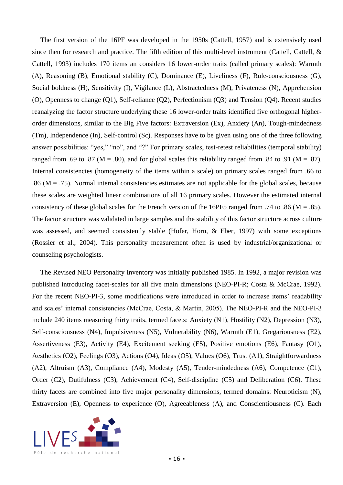The first version of the 16PF was developed in the 1950s (Cattell, 1957) and is extensively used since then for research and practice. The fifth edition of this multi-level instrument (Cattell, Cattell, & Cattell, 1993) includes 170 items an considers 16 lower-order traits (called primary scales): Warmth (A), Reasoning (B), Emotional stability (C), Dominance (E), Liveliness (F), Rule-consciousness (G), Social boldness (H), Sensitivity (I), Vigilance (L), Abstractedness (M), Privateness (N), Apprehension (O), Openness to change (Q1), Self-reliance (Q2), Perfectionism (Q3) and Tension (Q4). Recent studies reanalyzing the factor structure underlying these 16 lower-order traits identified five orthogonal higherorder dimensions, similar to the Big Five factors: Extraversion (Ex), Anxiety (An), Tough-mindedness (Tm), Independence (In), Self-control (Sc). Responses have to be given using one of the three following answer possibilities: "yes," "no", and "?" For primary scales, test-retest reliabilities (temporal stability) ranged from .69 to .87 ( $M = .80$ ), and for global scales this reliability ranged from .84 to .91 ( $M = .87$ ). Internal consistencies (homogeneity of the items within a scale) on primary scales ranged from .66 to .86 ( $M = .75$ ). Normal internal consistencies estimates are not applicable for the global scales, because these scales are weighted linear combinations of all 16 primary scales. However the estimated internal consistency of these global scales for the French version of the 16PF5 ranged from .74 to .86 ( $M = .85$ ). The factor structure was validated in large samples and the stability of this factor structure across culture was assessed, and seemed consistently stable (Hofer, Horn, & Eber, 1997) with some exceptions (Rossier et al., 2004). This personality measurement often is used by industrial/organizational or counseling psychologists.

The Revised NEO Personality Inventory was initially published 1985. In 1992, a major revision was published introducing facet-scales for all five main dimensions (NEO-PI-R; Costa & McCrae, 1992). For the recent NEO-PI-3, some modifications were introduced in order to increase items' readability and scales' internal consistencies (McCrae, Costa, & Martin, 2005). The NEO-PI-R and the NEO-PI-3 include 240 items measuring thirty traits, termed facets: Anxiety (N1), Hostility (N2), Depression (N3), Self-consciousness (N4), Impulsiveness (N5), Vulnerability (N6), Warmth (E1), Gregariousness (E2), Assertiveness (E3), Activity (E4), Excitement seeking (E5), Positive emotions (E6), Fantasy (O1), Aesthetics (O2), Feelings (O3), Actions (O4), Ideas (O5), Values (O6), Trust (A1), Straightforwardness (A2), Altruism (A3), Compliance (A4), Modesty (A5), Tender-mindedness (A6), Competence (C1), Order (C2), Dutifulness (C3), Achievement (C4), Self-discipline (C5) and Deliberation (C6). These thirty facets are combined into five major personality dimensions, termed domains: Neuroticism (N), Extraversion (E), Openness to experience (O), Agreeableness (A), and Conscientiousness (C). Each

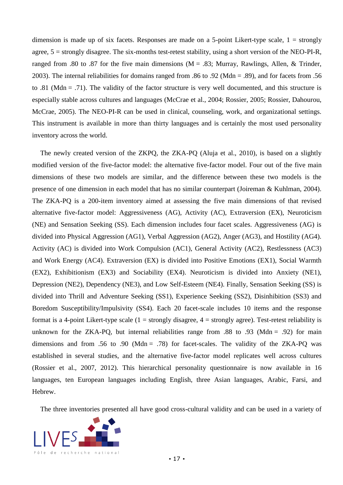dimension is made up of six facets. Responses are made on a 5-point Likert-type scale,  $1 =$  strongly agree, 5 = strongly disagree. The six-months test-retest stability, using a short version of the NEO-PI-R, ranged from .80 to .87 for the five main dimensions ( $M = .83$ ; Murray, Rawlings, Allen, & Trinder, 2003). The internal reliabilities for domains ranged from .86 to .92 (Mdn = .89), and for facets from .56 to .81 (Mdn = .71). The validity of the factor structure is very well documented, and this structure is especially stable across cultures and languages (McCrae et al., 2004; Rossier, 2005; Rossier, Dahourou, McCrae, 2005). The NEO-PI-R can be used in clinical, counseling, work, and organizational settings. This instrument is available in more than thirty languages and is certainly the most used personality inventory across the world.

The newly created version of the ZKPQ, the ZKA-PQ (Aluja et al., 2010), is based on a slightly modified version of the five-factor model: the alternative five-factor model. Four out of the five main dimensions of these two models are similar, and the difference between these two models is the presence of one dimension in each model that has no similar counterpart (Joireman & Kuhlman, 2004). The ZKA-PQ is a 200-item inventory aimed at assessing the five main dimensions of that revised alternative five-factor model: Aggressiveness (AG), Activity (AC), Extraversion (EX), Neuroticism (NE) and Sensation Seeking (SS). Each dimension includes four facet scales. Aggressiveness (AG) is divided into Physical Aggression (AG1), Verbal Aggression (AG2), Anger (AG3), and Hostility (AG4). Activity (AC) is divided into Work Compulsion (AC1), General Activity (AC2), Restlessness (AC3) and Work Energy (AC4). Extraversion (EX) is divided into Positive Emotions (EX1), Social Warmth (EX2), Exhibitionism (EX3) and Sociability (EX4). Neuroticism is divided into Anxiety (NE1), Depression (NE2), Dependency (NE3), and Low Self-Esteem (NE4). Finally, Sensation Seeking (SS) is divided into Thrill and Adventure Seeking (SS1), Experience Seeking (SS2), Disinhibition (SS3) and Boredom Susceptibility/Impulsivity (SS4). Each 20 facet-scale includes 10 items and the response format is a 4-point Likert-type scale  $(1 = strongly disagree, 4 = strongly agree)$ . Test-retest reliability is unknown for the ZKA-PQ, but internal reliabilities range from .88 to .93 (Mdn = .92) for main dimensions and from .56 to .90 (Mdn = .78) for facet-scales. The validity of the ZKA-PQ was established in several studies, and the alternative five-factor model replicates well across cultures (Rossier et al., 2007, 2012). This hierarchical personality questionnaire is now available in 16 languages, ten European languages including English, three Asian languages, Arabic, Farsi, and Hebrew.

The three inventories presented all have good cross-cultural validity and can be used in a variety of

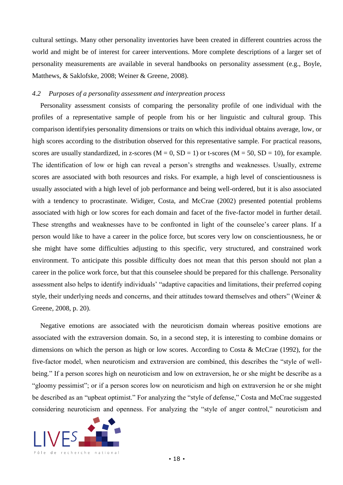cultural settings. Many other personality inventories have been created in different countries across the world and might be of interest for career interventions. More complete descriptions of a larger set of personality measurements are available in several handbooks on personality assessment (e.g., Boyle, Matthews, & Saklofske, 2008; Weiner & Greene, 2008).

# *4.2 Purposes of a personality assessment and interpreation process*

Personality assessment consists of comparing the personality profile of one individual with the profiles of a representative sample of people from his or her linguistic and cultural group. This comparison identifyies personality dimensions or traits on which this individual obtains average, low, or high scores according to the distribution observed for this representative sample. For practical reasons, scores are usually standardized, in z-scores  $(M = 0, SD = 1)$  or t-scores  $(M = 50, SD = 10)$ , for example. The identification of low or high can reveal a person's strengths and weaknesses. Usually, extreme scores are associated with both resources and risks. For example, a high level of conscientiousness is usually associated with a high level of job performance and being well-ordered, but it is also associated with a tendency to procrastinate. Widiger, Costa, and McCrae (2002) presented potential problems associated with high or low scores for each domain and facet of the five-factor model in further detail. These strengths and weaknesses have to be confronted in light of the counselee's career plans. If a person would like to have a career in the police force, but scores very low on conscientiousness, he or she might have some difficulties adjusting to this specific, very structured, and constrained work environment. To anticipate this possible difficulty does not mean that this person should not plan a career in the police work force, but that this counselee should be prepared for this challenge. Personality assessment also helps to identify individuals' "adaptive capacities and limitations, their preferred coping style, their underlying needs and concerns, and their attitudes toward themselves and others" (Weiner & Greene, 2008, p. 20).

Negative emotions are associated with the neuroticism domain whereas positive emotions are associated with the extraversion domain. So, in a second step, it is interesting to combine domains or dimensions on which the person as high or low scores. According to Costa & McCrae (1992), for the five-factor model, when neuroticism and extraversion are combined, this describes the "style of wellbeing." If a person scores high on neuroticism and low on extraversion, he or she might be describe as a "gloomy pessimist"; or if a person scores low on neuroticism and high on extraversion he or she might be described as an "upbeat optimist." For analyzing the "style of defense," Costa and McCrae suggested considering neuroticism and openness. For analyzing the "style of anger control," neuroticism and

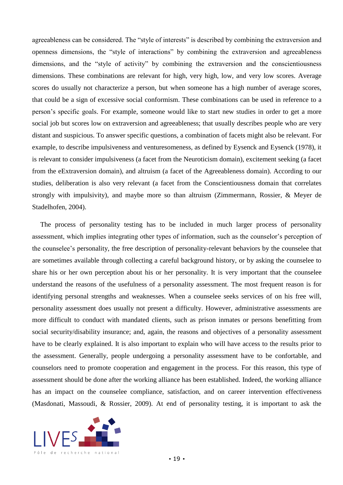agreeableness can be considered. The "style of interests" is described by combining the extraversion and openness dimensions, the "style of interactions" by combining the extraversion and agreeableness dimensions, and the "style of activity" by combining the extraversion and the conscientiousness dimensions. These combinations are relevant for high, very high, low, and very low scores. Average scores do usually not characterize a person, but when someone has a high number of average scores, that could be a sign of excessive social conformism. These combinations can be used in reference to a person's specific goals. For example, someone would like to start new studies in order to get a more social job but scores low on extraversion and agreeableness; that usually describes people who are very distant and suspicious. To answer specific questions, a combination of facets might also be relevant. For example, to describe impulsiveness and venturesomeness, as defined by Eysenck and Eysenck (1978), it is relevant to consider impulsiveness (a facet from the Neuroticism domain), excitement seeking (a facet from the eExtraversion domain), and altruism (a facet of the Agreeableness domain). According to our studies, deliberation is also very relevant (a facet from the Conscientiousness domain that correlates strongly with impulsivity), and maybe more so than altruism (Zimmermann, Rossier, & Meyer de Stadelhofen, 2004).

The process of personality testing has to be included in much larger process of personality assessment, which implies integrating other types of information, such as the counselor's perception of the counselee's personality, the free description of personality-relevant behaviors by the counselee that are sometimes available through collecting a careful background history, or by asking the counselee to share his or her own perception about his or her personality. It is very important that the counselee understand the reasons of the usefulness of a personality assessment. The most frequent reason is for identifying personal strengths and weaknesses. When a counselee seeks services of on his free will, personality assessment does usually not present a difficulty. However, administrative assessments are more difficult to conduct with mandated clients, such as prison inmates or persons benefitting from social security/disability insurance; and, again, the reasons and objectives of a personality assessment have to be clearly explained. It is also important to explain who will have access to the results prior to the assessment. Generally, people undergoing a personality assessment have to be confortable, and counselors need to promote cooperation and engagement in the process. For this reason, this type of assessment should be done after the working alliance has been established. Indeed, the working alliance has an impact on the counselee compliance, satisfaction, and on career intervention effectiveness (Masdonati, Massoudi, & Rossier, 2009). At end of personality testing, it is important to ask the

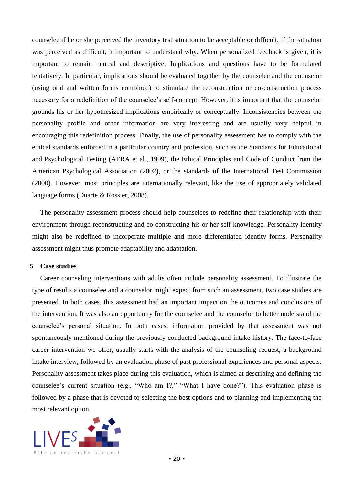counselee if he or she perceived the inventory test situation to be acceptable or difficult. If the situation was perceived as difficult, it important to understand why. When personalized feedback is given, it is important to remain neutral and descriptive. Implications and questions have to be formulated tentatively. In particular, implications should be evaluated together by the counselee and the counselor (using oral and written forms combined) to stimulate the reconstruction or co-construction process necessary for a redefinition of the counselee's self-concept. However, it is important that the counselor grounds his or her hypothesized implications empirically or conceptually. Inconsistencies between the personality profile and other information are very interesting and are usually very helpful in encouraging this redefinition process. Finally, the use of personality assessment has to comply with the ethical standards enforced in a particular country and profession, such as the Standards for Educational and Psychological Testing (AERA et al., 1999), the Ethical Principles and Code of Conduct from the American Psychological Association (2002), or the standards of the International Test Commission (2000). However, most principles are internationally relevant, like the use of appropriately validated language forms (Duarte & Rossier, 2008).

The personality assessment process should help counselees to redefine their relationship with their environment through reconstructing and co-constructing his or her self-knowledge. Personality identity might also be redefined to incorporate multiple and more differentiated identity forms. Personality assessment might thus promote adaptability and adaptation.

# **5 Case studies**

Career counseling interventions with adults often include personality assessment. To illustrate the type of results a counselee and a counselor might expect from such an assessment, two case studies are presented. In both cases, this assessment had an important impact on the outcomes and conclusions of the intervention. It was also an opportunity for the counselee and the counselor to better understand the counselee's personal situation. In both cases, information provided by that assessment was not spontaneously mentioned during the previously conducted background intake history. The face-to-face career intervention we offer, usually starts with the analysis of the counseling request, a background intake interview, followed by an evaluation phase of past professional experiences and personal aspects. Personality assessment takes place during this evaluation, which is aimed at describing and defining the counselee's current situation (e.g., "Who am I?," "What I have done?"). This evaluation phase is followed by a phase that is devoted to selecting the best options and to planning and implementing the most relevant option.

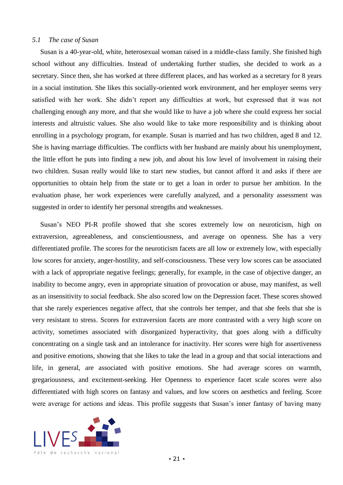### *5.1 The case of Susan*

Susan is a 40-year-old, white, heterosexual woman raised in a middle-class family. She finished high school without any difficulties. Instead of undertaking further studies, she decided to work as a secretary. Since then, she has worked at three different places, and has worked as a secretary for 8 years in a social institution. She likes this socially-oriented work environment, and her employer seems very satisfied with her work. She didn't report any difficulties at work, but expressed that it was not challenging enough any more, and that she would like to have a job where she could express her social interests and altruistic values. She also would like to take more responsibility and is thinking about enrolling in a psychology program, for example. Susan is married and has two children, aged 8 and 12. She is having marriage difficulties. The conflicts with her husband are mainly about his unemployment, the little effort he puts into finding a new job, and about his low level of involvement in raising their two children. Susan really would like to start new studies, but cannot afford it and asks if there are opportunities to obtain help from the state or to get a loan in order to pursue her ambition. In the evaluation phase, her work experiences were carefully analyzed, and a personality assessment was suggested in order to identify her personal strengths and weaknesses.

Susan's NEO PI-R profile showed that she scores extremely low on neuroticism, high on extraversion, agreeableness, and conscientiousness, and average on openness. She has a very differentiated profile. The scores for the neuroticism facets are all low or extremely low, with especially low scores for anxiety, anger-hostility, and self-consciousness. These very low scores can be associated with a lack of appropriate negative feelings; generally, for example, in the case of objective danger, an inability to become angry, even in appropriate situation of provocation or abuse, may manifest, as well as an insensitivity to social feedback. She also scored low on the Depression facet. These scores showed that she rarely experiences negative affect, that she controls her temper, and that she feels that she is very resistant to stress. Scores for extraversion facets are more contrasted with a very high score on activity, sometimes associated with disorganized hyperactivity, that goes along with a difficulty concentrating on a single task and an intolerance for inactivity. Her scores were high for assertiveness and positive emotions, showing that she likes to take the lead in a group and that social interactions and life, in general, are associated with positive emotions. She had average scores on warmth, gregariousness, and excitement-seeking. Her Openness to experience facet scale scores were also differentiated with high scores on fantasy and values, and low scores on aesthetics and feeling. Score were average for actions and ideas. This profile suggests that Susan's inner fantasy of having many

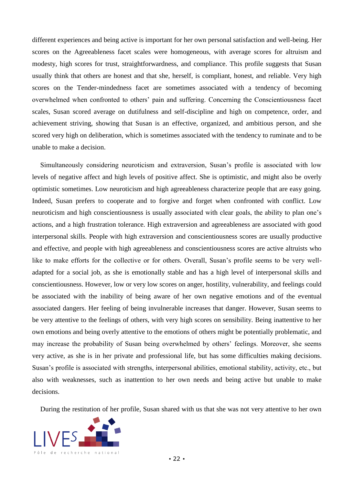different experiences and being active is important for her own personal satisfaction and well-being. Her scores on the Agreeableness facet scales were homogeneous, with average scores for altruism and modesty, high scores for trust, straightforwardness, and compliance. This profile suggests that Susan usually think that others are honest and that she, herself, is compliant, honest, and reliable. Very high scores on the Tender-mindedness facet are sometimes associated with a tendency of becoming overwhelmed when confronted to others' pain and suffering. Concerning the Conscientiousness facet scales, Susan scored average on dutifulness and self-discipline and high on competence, order, and achievement striving, showing that Susan is an effective, organized, and ambitious person, and she scored very high on deliberation, which is sometimes associated with the tendency to ruminate and to be unable to make a decision.

Simultaneously considering neuroticism and extraversion, Susan's profile is associated with low levels of negative affect and high levels of positive affect. She is optimistic, and might also be overly optimistic sometimes. Low neuroticism and high agreeableness characterize people that are easy going. Indeed, Susan prefers to cooperate and to forgive and forget when confronted with conflict. Low neuroticism and high conscientiousness is usually associated with clear goals, the ability to plan one's actions, and a high frustration tolerance. High extraversion and agreeableness are associated with good interpersonal skills. People with high extraversion and conscientiousness scores are usually productive and effective, and people with high agreeableness and conscientiousness scores are active altruists who like to make efforts for the collective or for others. Overall, Susan's profile seems to be very welladapted for a social job, as she is emotionally stable and has a high level of interpersonal skills and conscientiousness. However, low or very low scores on anger, hostility, vulnerability, and feelings could be associated with the inability of being aware of her own negative emotions and of the eventual associated dangers. Her feeling of being invulnerable increases that danger. However, Susan seems to be very attentive to the feelings of others, with very high scores on sensibility. Being inattentive to her own emotions and being overly attentive to the emotions of others might be potentially problematic, and may increase the probability of Susan being overwhelmed by others' feelings. Moreover, she seems very active, as she is in her private and professional life, but has some difficulties making decisions. Susan's profile is associated with strengths, interpersonal abilities, emotional stability, activity, etc., but also with weaknesses, such as inattention to her own needs and being active but unable to make decisions.

During the restitution of her profile, Susan shared with us that she was not very attentive to her own

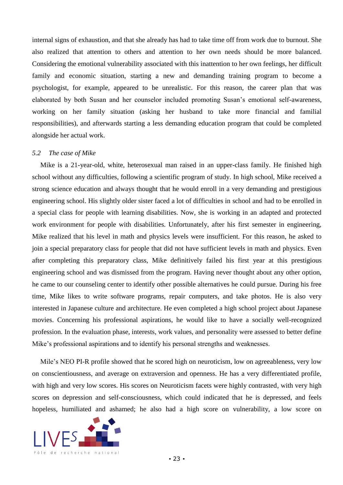internal signs of exhaustion, and that she already has had to take time off from work due to burnout. She also realized that attention to others and attention to her own needs should be more balanced. Considering the emotional vulnerability associated with this inattention to her own feelings, her difficult family and economic situation, starting a new and demanding training program to become a psychologist, for example, appeared to be unrealistic. For this reason, the career plan that was elaborated by both Susan and her counselor included promoting Susan's emotional self-awareness, working on her family situation (asking her husband to take more financial and familial responsibilities), and afterwards starting a less demanding education program that could be completed alongside her actual work.

## *5.2 The case of Mike*

Mike is a 21-year-old, white, heterosexual man raised in an upper-class family. He finished high school without any difficulties, following a scientific program of study. In high school, Mike received a strong science education and always thought that he would enroll in a very demanding and prestigious engineering school. His slightly older sister faced a lot of difficulties in school and had to be enrolled in a special class for people with learning disabilities. Now, she is working in an adapted and protected work environment for people with disabilities. Unfortunately, after his first semester in engineering, Mike realized that his level in math and physics levels were insufficient. For this reason, he asked to join a special preparatory class for people that did not have sufficient levels in math and physics. Even after completing this preparatory class, Mike definitively failed his first year at this prestigious engineering school and was dismissed from the program. Having never thought about any other option, he came to our counseling center to identify other possible alternatives he could pursue. During his free time, Mike likes to write software programs, repair computers, and take photos. He is also very interested in Japanese culture and architecture. He even completed a high school project about Japanese movies. Concerning his professional aspirations, he would like to have a socially well-recognized profession. In the evaluation phase, interests, work values, and personality were assessed to better define Mike's professional aspirations and to identify his personal strengths and weaknesses.

Mile's NEO PI-R profile showed that he scored high on neuroticism, low on agreeableness, very low on conscientiousness, and average on extraversion and openness. He has a very differentiated profile, with high and very low scores. His scores on Neuroticism facets were highly contrasted, with very high scores on depression and self-consciousness, which could indicated that he is depressed, and feels hopeless, humiliated and ashamed; he also had a high score on vulnerability, a low score on

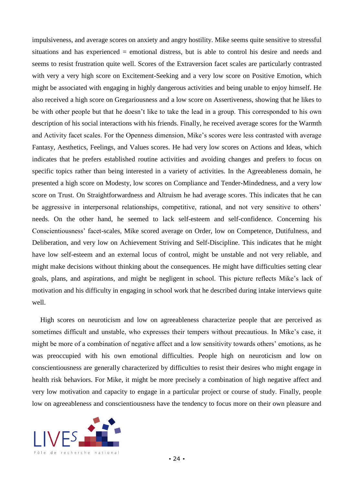impulsiveness, and average scores on anxiety and angry hostility. Mike seems quite sensitive to stressful situations and has experienced = emotional distress, but is able to control his desire and needs and seems to resist frustration quite well. Scores of the Extraversion facet scales are particularly contrasted with very a very high score on Excitement-Seeking and a very low score on Positive Emotion, which might be associated with engaging in highly dangerous activities and being unable to enjoy himself. He also received a high score on Gregariousness and a low score on Assertiveness, showing that he likes to be with other people but that he doesn't like to take the lead in a group. This corresponded to his own description of his social interactions with his friends. Finally, he received average scores for the Warmth and Activity facet scales. For the Openness dimension, Mike's scores were less contrasted with average Fantasy, Aesthetics, Feelings, and Values scores. He had very low scores on Actions and Ideas, which indicates that he prefers established routine activities and avoiding changes and prefers to focus on specific topics rather than being interested in a variety of activities. In the Agreeableness domain, he presented a high score on Modesty, low scores on Compliance and Tender-Mindedness, and a very low score on Trust. On Straightforwardness and Altruism he had average scores. This indicates that he can be aggressive in interpersonal relationships, competitive, rational, and not very sensitive to others' needs. On the other hand, he seemed to lack self-esteem and self-confidence. Concerning his Conscientiousness' facet-scales, Mike scored average on Order, low on Competence, Dutifulness, and Deliberation, and very low on Achievement Striving and Self-Discipline. This indicates that he might have low self-esteem and an external locus of control, might be unstable and not very reliable, and might make decisions without thinking about the consequences. He might have difficulties setting clear goals, plans, and aspirations, and might be negligent in school. This picture reflects Mike's lack of motivation and his difficulty in engaging in school work that he described during intake interviews quite well.

High scores on neuroticism and low on agreeableness characterize people that are perceived as sometimes difficult and unstable, who expresses their tempers without precautious. In Mike's case, it might be more of a combination of negative affect and a low sensitivity towards others' emotions, as he was preoccupied with his own emotional difficulties. People high on neuroticism and low on conscientiousness are generally characterized by difficulties to resist their desires who might engage in health risk behaviors. For Mike, it might be more precisely a combination of high negative affect and very low motivation and capacity to engage in a particular project or course of study. Finally, people low on agreeableness and conscientiousness have the tendency to focus more on their own pleasure and

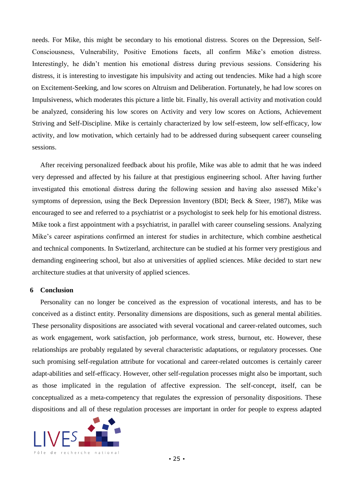needs. For Mike, this might be secondary to his emotional distress. Scores on the Depression, Self-Consciousness, Vulnerability, Positive Emotions facets, all confirm Mike's emotion distress. Interestingly, he didn't mention his emotional distress during previous sessions. Considering his distress, it is interesting to investigate his impulsivity and acting out tendencies. Mike had a high score on Excitement-Seeking, and low scores on Altruism and Deliberation. Fortunately, he had low scores on Impulsiveness, which moderates this picture a little bit. Finally, his overall activity and motivation could be analyzed, considering his low scores on Activity and very low scores on Actions, Achievement Striving and Self-Discipline. Mike is certainly characterized by low self-esteem, low self-efficacy, low activity, and low motivation, which certainly had to be addressed during subsequent career counseling sessions.

After receiving personalized feedback about his profile, Mike was able to admit that he was indeed very depressed and affected by his failure at that prestigious engineering school. After having further investigated this emotional distress during the following session and having also assessed Mike's symptoms of depression, using the Beck Depression Inventory (BDI; Beck & Steer, 1987), Mike was encouraged to see and referred to a psychiatrist or a psychologist to seek help for his emotional distress. Mike took a first appointment with a psychiatrist, in parallel with career counseling sessions. Analyzing Mike's career aspirations confirmed an interest for studies in architecture, which combine aesthetical and technical components. In Swtizerland, architecture can be studied at his former very prestigious and demanding engineering school, but also at universities of applied sciences. Mike decided to start new architecture studies at that university of applied sciences.

# **6 Conclusion**

Personality can no longer be conceived as the expression of vocational interests, and has to be conceived as a distinct entity. Personality dimensions are dispositions, such as general mental abilities. These personality dispositions are associated with several vocational and career-related outcomes, such as work engagement, work satisfaction, job performance, work stress, burnout, etc. However, these relationships are probably regulated by several characteristic adaptations, or regulatory processes. One such promising self-regulation attribute for vocational and career-related outcomes is certainly career adapt-abilities and self-efficacy. However, other self-regulation processes might also be important, such as those implicated in the regulation of affective expression. The self-concept, itself, can be conceptualized as a meta-competency that regulates the expression of personality dispositions. These dispositions and all of these regulation processes are important in order for people to express adapted

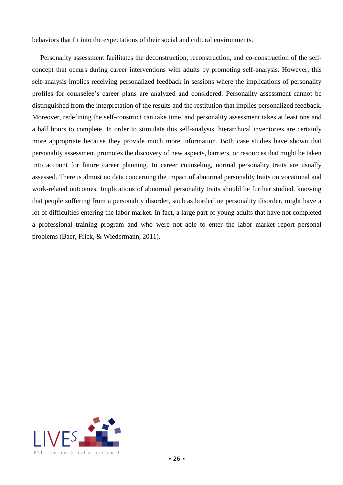behaviors that fit into the expectations of their social and cultural environments.

Personality assessment facilitates the deconstruction, reconstruction, and co-construction of the selfconcept that occurs during career interventions with adults by promoting self-analysis. However, this self-analysis implies receiving personalized feedback in sessions where the implications of personality profiles for counselee's career plans are analyzed and considered. Personality assessment cannot be distinguished from the interpretation of the results and the restitution that implies personalized feedback. Moreover, redefining the self-construct can take time, and personality assessment takes at least one and a half hours to complete. In order to stimulate this self-analysis, hierarchical inventories are certainly more appropriate because they provide much more information. Both case studies have shown that personality assessment promotes the discovery of new aspects, barriers, or resources that might be taken into account for future career planning. In career counseling, normal personality traits are usually assessed. There is almost no data concerning the impact of abnormal personality traits on vocational and work-related outcomes. Implications of abnormal personality traits should be further studied, knowing that people suffering from a personality disorder, such as borderline personality disorder, might have a lot of difficulties entering the labor market. In fact, a large part of young adults that have not completed a professional training program and who were not able to enter the labor market report personal problems (Baer, Frick, & Wiedermann, 2011).

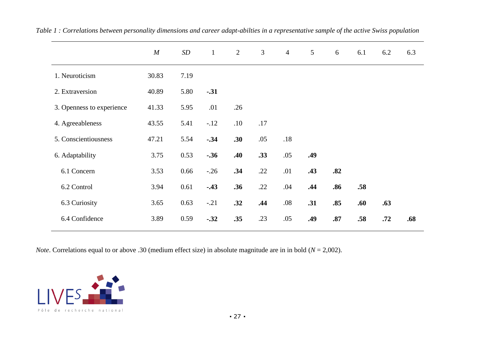|                           | M     | SD   | $\mathbf{1}$ | 2   | $\mathfrak{Z}$ | $\overline{4}$ | $\overline{5}$ | 6   | 6.1 | 6.2 | 6.3 |
|---------------------------|-------|------|--------------|-----|----------------|----------------|----------------|-----|-----|-----|-----|
| 1. Neuroticism            | 30.83 | 7.19 |              |     |                |                |                |     |     |     |     |
| 2. Extraversion           | 40.89 | 5.80 | $-.31$       |     |                |                |                |     |     |     |     |
| 3. Openness to experience | 41.33 | 5.95 | .01          | .26 |                |                |                |     |     |     |     |
| 4. Agreeableness          | 43.55 | 5.41 | $-.12$       | .10 | .17            |                |                |     |     |     |     |
| 5. Conscientiousness      | 47.21 | 5.54 | $-.34$       | .30 | .05            | .18            |                |     |     |     |     |
| 6. Adaptability           | 3.75  | 0.53 | $-.36$       | .40 | .33            | .05            | .49            |     |     |     |     |
| 6.1 Concern               | 3.53  | 0.66 | $-.26$       | .34 | .22            | .01            | .43            | .82 |     |     |     |
| 6.2 Control               | 3.94  | 0.61 | $-.43$       | .36 | .22            | .04            | .44            | .86 | .58 |     |     |
| 6.3 Curiosity             | 3.65  | 0.63 | $-.21$       | .32 | .44            | $.08\,$        | .31            | .85 | .60 | .63 |     |
| 6.4 Confidence            | 3.89  | 0.59 | $-.32$       | .35 | .23            | .05            | .49            | .87 | .58 | .72 | .68 |

*Table 1 : Correlations between personality dimensions and career adapt-abilties in a representative sample of the active Swiss population*

*Note*. Correlations equal to or above .30 (medium effect size) in absolute magnitude are in in bold (*N* = 2,002).

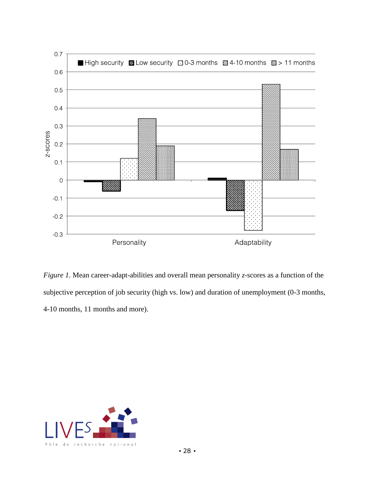

*Figure 1*. Mean career-adapt-abilities and overall mean personality *z*-scores as a function of the subjective perception of job security (high vs. low) and duration of unemployment (0-3 months, 4-10 months, 11 months and more).

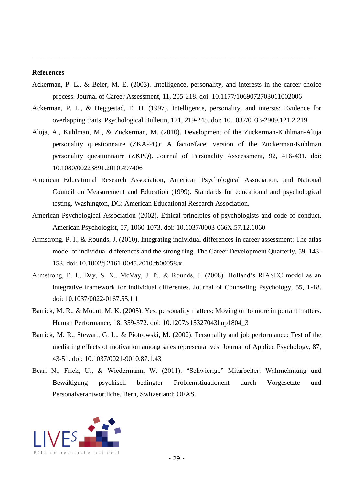# **References**

Ackerman, P. L., & Beier, M. E. (2003). Intelligence, personality, and interests in the career choice process. Journal of Career Assessment, 11, 205-218. doi: 10.1177/1069072703011002006

- Ackerman, P. L., & Heggestad, E. D. (1997). Intelligence, personality, and intersts: Evidence for overlapping traits. Psychological Bulletin, 121, 219-245. doi: [10.1037/0033-2909.121.2.219](http://psycnet.apa.org/doi/10.1037/0033-2909.121.2.219)
- Aluja, A., Kuhlman, M., & Zuckerman, M. (2010). Development of the Zuckerman-Kuhlman-Aluja personality questionnaire (ZKA-PQ): A factor/facet version of the Zuckerman-Kuhlman personality questionnaire (ZKPQ). Journal of Personality Asseessment, 92, 416-431. doi: 10.1080/00223891.2010.497406
- American Educational Research Association, American Psychological Association, and National Council on Measurement and Education (1999). Standards for educational and psychological testing. Washington, DC: American Educational Research Association.
- American Psychological Association (2002). Ethical principles of psychologists and code of conduct. American Psychologist, 57, 1060-1073. doi: 10.1037/0003-066X.57.12.1060
- Armstrong, P. I., & Rounds, J. (2010). Integrating individual differences in career assessment: The atlas model of individual differences and the strong ring. The Career Development Quarterly, 59, 143- 153. doi: 10.1002/j.2161-0045.2010.tb00058.x
- Armstrong, P. I., Day, S. X., McVay, J. P., & Rounds, J. (2008). Holland's RIASEC model as an integrative framework for individual differentes. Journal of Counseling Psychology, 55, 1-18. doi: 10.1037/0022-0167.55.1.1
- Barrick, M. R., & Mount, M. K. (2005). Yes, personality matters: Moving on to more important matters. Human Performance, 18, 359-372. doi: 10.1207/s15327043hup1804\_3
- Barrick, M. R., Stewart, G. L., & Piotrowski, M. (2002). Personality and job performance: Test of the mediating effects of motivation among sales representatives. Journal of Applied Psychology, 87, 43-51. doi: 10.1037/0021-9010.87.1.43
- Bear, N., Frick, U., & Wiedermann, W. (2011). "Schwierige" Mitarbeiter: Wahrnehmung und Bewältigung psychisch bedingter Problemstiuationent durch Vorgesetzte und Personalverantwortliche. Bern, Switzerland: OFAS.

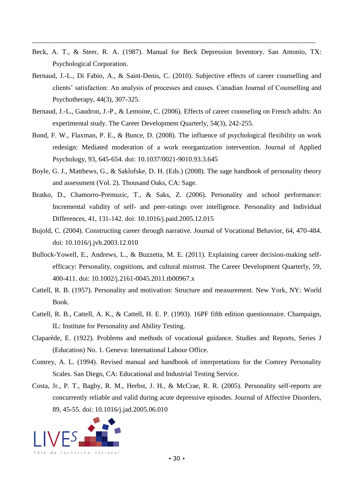Beck, A. T., & Steer, R. A. (1987). Manual for Beck Depression Inventory. San Antonio, TX: Psychological Corporation.

- Bernaud, J.-L., Di Fabio, A., & Saint-Denis, C. (2010). Subjective effects of career counselling and clients' satisfaction: An analysis of processes and causes. Canadian Journal of Counselling and Psychotherapy, 44(3), 307-325.
- Bernaud, J.-L., Gaudron, J.-P., & Lemoine, C. (2006). Effects of career counseling on French adults: An experimental study. The Career Development Quarterly, 54(3), 242-255.
- Bond, F. W., Flaxman, P. E., & Bunce, D. (2008). The influence of psychological flexibility on work redesign: Mediated moderation of a work reorganization intervention. Journal of Applied Psychology, 93, 645-654. doi: 10.1037/0021-9010.93.3.645
- Boyle, G. J., Matthews, G., & Saklofske, D. H. (Eds.) (2008). The sage handbook of personality theory and assessment (Vol. 2). Thousand Oaks, CA: Sage.
- Bratko, D., Chamorro-Premuzic, T., & Saks, Z. (2006). Personality and school performance: Incremental validity of self- and peer-ratings over intelligence. Personality and Individual Differences, 41, 131-142. doi: 10.1016/j.paid.2005.12.015
- Bujold, C. (2004). Constructing career through narrative. Journal of Vocational Behavior, 64, 470-484. doi: 10.1016/j.jvb.2003.12.010
- Bullock-Yowell, E., Andrews, L., & Buzzetta, M. E. (2011). Explaining career decision-making selfefficacy: Personality, cognitions, and cultural mistrust. The Career Development Quarterly, 59, 400-411. doi: 10.1002/j.2161-0045.2011.tb00967.x
- Cattell, R. B. (1957). Personality and motivation: Structure and measurement. New York, NY: World Book.
- Cattell, R. B., Cattell, A. K., & Cattell, H. E. P. (1993). 16PF fifth edition questionnaire. Champaign, IL: Institute for Personality and Ability Testing.
- Claparède, E. (1922). Problems and methods of vocational guidance. Studies and Reports, Series J (Education) No. 1. Geneva: International Labour Office.
- Comrey, A. L. (1994). Revised manual and handbook of interpretations for the Comrey Personality Scales. San Diego, CA: Educational and Industrial Testing Service.
- Costa, Jr., P. T., Bagby, R. M., Herbst, J. H., & McCrae, R. R. (2005). Personality self-reports are concurrently reliable and valid during acute depressive episodes. Journal of Affective Disorders, 89, 45-55. doi: 10.1016/j.jad.2005.06.010

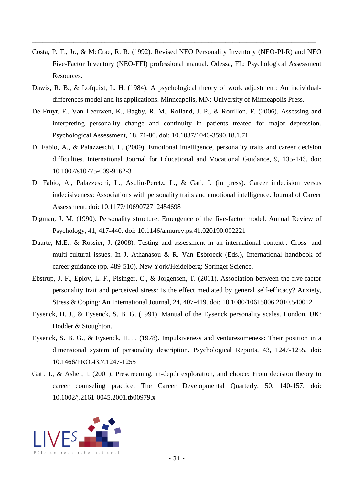Costa, P. T., Jr., & McCrae, R. R. (1992). Revised NEO Personality Inventory (NEO-PI-R) and NEO Five-Factor Inventory (NEO-FFI) professional manual. Odessa, FL: Psychological Assessment Resources.

- Dawis, R. B., & Lofquist, L. H. (1984). A psychological theory of work adjustment: An individualdifferences model and its applications. Minneapolis, MN: University of Minneapolis Press.
- De Fruyt, F., Van Leeuwen, K., Bagby, R. M., Rolland, J. P., & Rouillon, F. (2006). Assessing and interpreting personality change and continuity in patients treated for major depression. Psychological Assessment, 18, 71-80. doi: 10.1037/1040-3590.18.1.71
- Di Fabio, A., & Palazzeschi, L. (2009). Emotional intelligence, personality traits and career decision difficulties. International Journal for Educational and Vocational Guidance, 9, 135-146. doi: 10.1007/s10775-009-9162-3
- Di Fabio, A., Palazzeschi, L., Asulin-Peretz, L., & Gati, I. (in press). Career indecision versus indecisiveness: Associations with personality traits and emotional intelligence. Journal of Career Assessment. doi: 10.1177/1069072712454698
- Digman, J. M. (1990). Personality structure: Emergence of the five-factor model. Annual Review of Psychology, 41, 417-440. doi: 10.1146/annurev.ps.41.020190.002221
- Duarte, M.E., & Rossier, J. (2008). Testing and assessment in an international context : Cross- and multi-cultural issues. In J. Athanasou & R. Van Esbroeck (Eds.), International handbook of career guidance (pp. 489-510). New York/Heidelberg: Springer Science.
- Ebstrup, J. F., Eplov, L. F., Pisinger, C., & Jorgensen, T. (2011). Association between the five factor personality trait and perceived stress: Is the effect mediated by general self-efficacy? Anxiety, Stress & Coping: An International Journal, 24, 407-419. doi: 10.1080/10615806.2010.540012
- Eysenck, H. J., & Eysenck, S. B. G. (1991). Manual of the Eysenck personality scales. London, UK: Hodder & Stoughton.
- Eysenck, S. B. G., & Eysenck, H. J. (1978). Impulsiveness and venturesomeness: Their position in a dimensional system of personality description. Psychological Reports, 43, 1247-1255. doi: 10.1466/PRO.43.7.1247-1255
- Gati, I., & Asher, I. (2001). Prescreening, in-depth exploration, and choice: From decision theory to career counseling practice. The Career Developmental Quarterly, 50, 140-157. doi: 10.1002/j.2161-0045.2001.tb00979.x

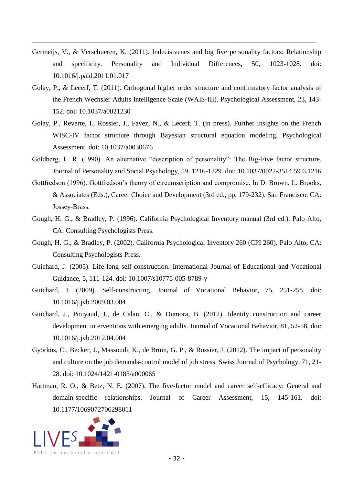Germeijs, V., & Verschueren, K. (2011). Indecisivenes and big five personality factors: Relationship and specificity. Personality and Individual Differences, 50, 1023-1028. doi: [10.1016/j.paid.2011.01.017](https://crypto.unil.ch/10.1016/,DanaInfo=dx.doi.org+j.paid.2011.01.017)

- Golay, P., & Lecerf, T. (2011). Orthogonal higher order structure and confirmatory factor analysis of the French Wechsler Adults Intelligence Scale (WAIS-III). Psychological Assessment, 23, 143- 152. doi: [10.1037/a0021230](http://psycnet.apa.org/doi/10.1037/a0021230)
- Golay, P., Reverte, I., Rossier, J., Favez, N., & Lecerf, T. (in press). Further insights on the French WISC-IV factor structure through Bayesian structural equation modeling. Psychological Assessment. doi: [10.1037/a0030676](http://psycnet.apa.org/doi/10.1037/a0030676)
- Goldberg, L. R. (1990). An alternative "description of personality": The Big-Five factor structure. Journal of Personality and Social Psychology, 59, 1216-1229. doi: [10.1037/0022-3514.59.6.1216](http://psycnet.apa.org/doi/10.1037/0022-3514.59.6.1216)
- Gottfredson (1996). Gottfredson's theory of circumscription and compromise. In D. Brown, L. Brooks, & Associates (Eds.), Career Choice and Development (3rd ed., pp. 179-232). San Francisco, CA: Jossey-Brass.
- Gough, H. G., & Bradley, P. (1996). California Psychological Inventory manual (3rd ed.). Palo Alto, CA: Consulting Psychologists Press.
- Gough, H. G., & Bradley, P. (2002). California Psychological Inventory 260 (CPI 260). Palo Alto, CA: Consulting Psychologists Press.
- Guichard, J. (2005). Life-long self-construction. International Journal of Educational and Vocational Guidance, 5, 111-124. doi: 10.1007/s10775-005-8789-y
- Guichard, J. (2009). Self-constructing. Journal of Vocational Behavior, 75, 251-258. doi: 10.1016/j.jvb.2009.03.004
- Guichard, J., Pouyaud, J., de Calan, C., & Dumora, B. (2012). Identity construction and career development interventions with emerging adults. Journal of Vocational Behavior, 81, 52-58, doi: 10.1016/j.jvb.2012.04.004
- Györkös, C., Becker, J., Massoudi, K., de Bruin, G. P., & Rossier, J. (2012). The impact of personality and culture on the job demands-control model of job stress. Swiss Journal of Psychology, 71, 21- 28. doi: 10.1024/1421-0185/a000065
- Hartman, R. O., & Betz, N. E. (2007). The five-factor model and career self-efficacy: General and domain-specific relationships. Journal of Career Assessment, 15, 145-161. doi: 10.1177/1069072706298011

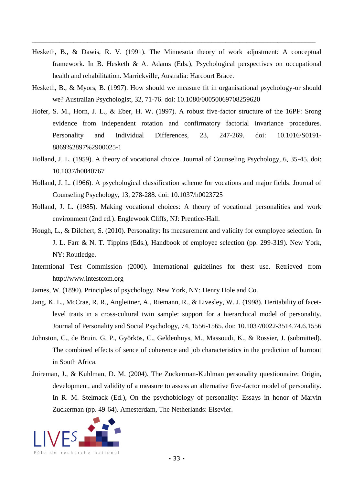Hesketh, B., & Dawis, R. V. (1991). The Minnesota theory of work adjustment: A conceptual framework. In B. Hesketh & A. Adams (Eds.), Psychological perspectives on occupational health and rehabilitation. Marrickville, Australia: Harcourt Brace.

- Hesketh, B., & Myors, B. (1997). How should we measure fit in organisational psychology-or should we? Australian Psychologist, 32, 71-76. doi: 10.1080/00050069708259620
- Hofer, S. M., Horn, J. L., & Eber, H. W. (1997). A robust five-factor structure of the 16PF: Srong evidence from independent rotation and confirmatory factorial invariance procedures. Personality and Individual Differences, 23, 247-269. doi: 10.1016/S0191- 8869%2897%2900025-1
- Holland, J. L. (1959). A theory of vocational choice. Journal of Counseling Psychology, 6, 35-45. doi: 10.1037/h0040767
- Holland, J. L. (1966). A psychological classification scheme for vocations and major fields. Journal of Counseling Psychology, 13, 278-288. doi: 10.1037/h0023725
- Holland, J. L. (1985). Making vocational choices: A theory of vocational personalities and work environment (2nd ed.). Englewook Cliffs, NJ: Prentice-Hall.
- Hough, L., & Dilchert, S. (2010). Personality: Its measurement and validity for exmployee selection. In J. L. Farr & N. T. Tippins (Eds.), Handbook of employee selection (pp. 299-319). New York, NY: Routledge.
- Interntional Test Commission (2000). International guidelines for thest use. Retrieved from http://www.intestcom.org
- James, W. (1890). Principles of psychology. New York, NY: Henry Hole and Co.
- Jang, K. L., McCrae, R. R., Angleitner, A., Riemann, R., & Livesley, W. J. (1998). Heritability of facetlevel traits in a cross-cultural twin sample: support for a hierarchical model of personality. Journal of Personality and Social Psychology, 74, 1556-1565. doi: 10.1037/0022-3514.74.6.1556
- Johnston, C., de Bruin, G. P., Györkös, C., Geldenhuys, M., Massoudi, K., & Rossier, J. (submitted). The combined effects of sence of coherence and job characteristics in the prediction of burnout in South Africa.
- Joireman, J., & Kuhlman, D. M. (2004). The Zuckerman-Kuhlman personality questionnaire: Origin, development, and validity of a measure to assess an alternative five-factor model of personality. In R. M. Stelmack (Ed.), On the psychobiology of personality: Essays in honor of Marvin Zuckerman (pp. 49-64). Amesterdam, The Netherlands: Elsevier.

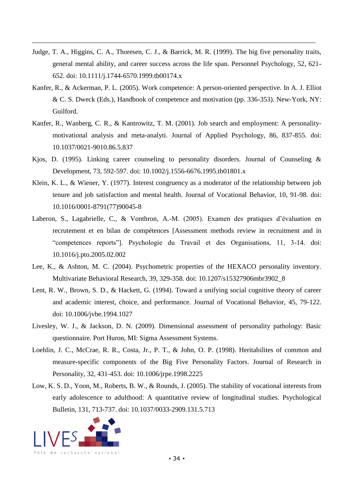Judge, T. A., Higgins, C. A., Thoresen, C. J., & Barrick, M. R. (1999). The big five personality traits, general mental ability, and career success across the life span. Personnel Psychology, 52, 621- 652. doi: 10.1111/j.1744-6570.1999.tb00174.x

- Kanfer, R., & Ackerman, P. L. (2005). Work competence: A person-oriented perspective. In A. J. Elliot & C. S. Dweck (Eds.), Handbook of competence and motivation (pp. 336-353). New-York, NY: Guilford.
- Kanfer, R., Wanberg, C. R., & Kantrowitz, T. M. (2001). Job search and employment: A personalitymotivational analysis and meta-analyti. Journal of Applied Psychology, 86, 837-855. doi: [10.1037/0021-9010.86.5.837](https://crypto.unil.ch/doi/10.1037/,DanaInfo=psycnet.apa.org+0021-9010.86.5.837)
- Kjos, D. (1995). Linking career counseling to personality disorders. Journal of Counseling & Development, 73, 592-597. doi: 10.1002/j.1556-6676.1995.tb01801.x
- Klein, K. L., & Wiener, Y. (1977). Interest congruency as a moderator of the relationship between job tenure and job satisfaction and mental health. Journal of Vocational Behavior, 10, 91-98. doi: 10.1016/0001-8791(77)90045-8
- Laberon, S., Lagabrielle, C., & Vonthron, A.-M. (2005). Examen des pratiques d'évaluation en recrutement et en bilan de compétences [Assessment methods review in recruitment and in "competences reports"]. Psychologie du Travail et des Organisations, 11, 3-14. doi: 10.1016/j.pto.2005.02.002
- Lee, K., & Ashton, M. C. (2004). Psychometric properties of the HEXACO personality inventory. Multivariate Behavioral Research, 39, 329-358. doi: 10.1207/s15327906mbr3902\_8
- Lent, R. W., Brown, S. D., & Hackett, G. (1994). Toward a unifying social cognitive theory of career and academic interest, choice, and performance. Journal of Vocational Behavior, 45, 79-122. doi: 10.1006/jvbe.1994.1027
- Livesley, W. J., & Jackson, D. N. (2009). Dimensional assessment of personality pathology: Basic questionnaire. Port Huron, MI: Sigma Assessment Systems.
- Loehlin, J. C., McCrae, R. R., Costa, Jr., P. T., & John, O. P. (1998). Heritabilites of common and measure-specific components of the Big Five Personality Factors. Journal of Research in Personality, 32, 431-453. doi: 10.1006/jrpe.1998.2225
- Low, K. S. D., Yoon, M., Roberts, B. W., & Rounds, J. (2005). The stability of vocational interests from early adolescence to adulthood: A quantitative review of longitudinal studies. Psychological Bulletin, 131, 713-737. doi: [10.1037/0033-2909.131.5.713](http://psycnet.apa.org/doi/10.1037/0033-2909.131.5.713)

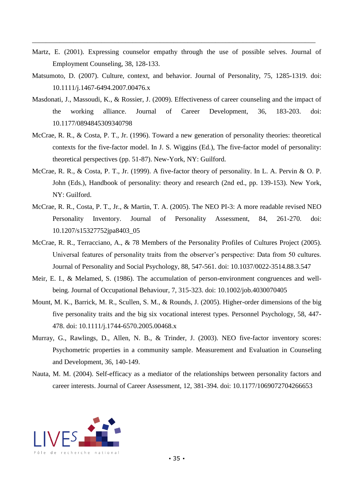Martz, E. (2001). Expressing counselor empathy through the use of possible selves. Journal of Employment Counseling, 38, 128-133.

- Matsumoto, D. (2007). Culture, context, and behavior. Journal of Personality, 75, 1285-1319. doi: 10.1111/j.1467-6494.2007.00476.x
- Masdonati, J., Massoudi, K., & Rossier, J. (2009). Effectiveness of career counseling and the impact of the working alliance. Journal of Career Development, 36, 183-203. doi: 10.1177/0894845309340798
- McCrae, R. R., & Costa, P. T., Jr. (1996). Toward a new generation of personality theories: theoretical contexts for the five-factor model. In J. S. Wiggins (Ed.), The five-factor model of personality: theoretical perspectives (pp. 51-87). New-York, NY: Guilford.
- McCrae, R. R., & Costa, P. T., Jr. (1999). A five-factor theory of personality. In L. A. Pervin & O. P. John (Eds.), Handbook of personality: theory and research (2nd ed., pp. 139-153). New York, NY: Guilford.
- McCrae, R. R., Costa, P. T., Jr., & Martin, T. A. (2005). The NEO PI-3: A more readable revised NEO Personality Inventory. Journal of Personality Assessment, 84, 261-270. doi: 10.1207/s15327752jpa8403\_05
- McCrae, R. R., Terracciano, A., & 78 Members of the Personality Profiles of Cultures Project (2005). Universal features of personality traits from the observer's perspective: Data from 50 cultures. Journal of Personality and Social Psychology, 88, 547-561. doi: 10.1037/0022-3514.88.3.547
- Meir, E. I., & Melamed, S. (1986). The accumulation of person-environment congruences and wellbeing. Journal of Occupational Behaviour, 7, 315-323. doi: 10.1002/job.4030070405
- Mount, M. K., Barrick, M. R., Scullen, S. M., & Rounds, J. (2005). Higher-order dimensions of the big five personality traits and the big six vocational interest types. Personnel Psychology, 58, 447- 478. doi: 10.1111/j.1744-6570.2005.00468.x
- Murray, G., Rawlings, D., Allen, N. B., & Trinder, J. (2003). NEO five-factor inventory scores: Psychometric properties in a community sample. Measurement and Evaluation in Counseling and Development, 36, 140-149.
- Nauta, M. M. (2004). Self-efficacy as a mediator of the relationships between personality factors and career interests. Journal of Career Assessment, 12, 381-394. doi: 10.1177/1069072704266653

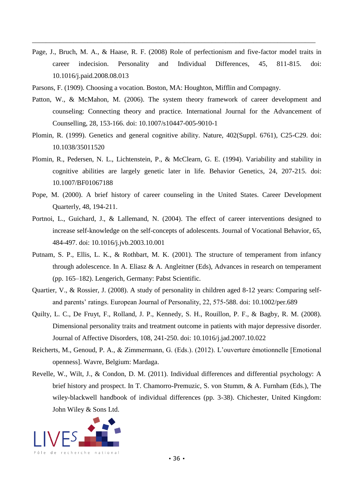Page, J., Bruch, M. A., & Haase, R. F. (2008) Role of perfectionism and five-factor model traits in career indecision. Personality and Individual Differences, 45, 811-815. doi: 10.1016/j.paid.2008.08.013

- Parsons, F. (1909). Choosing a vocation. Boston, MA: Houghton, Mifflin and Compagny.
- Patton, W., & McMahon, M. (2006). The system theory framework of career development and counseling: Connecting theory and practice. International Journal for the Advancement of Counselling, 28, 153-166. doi: 10.1007/s10447-005-9010-1
- Plomin, R. (1999). Genetics and general cognitive ability. Nature, 402(Suppl. 6761), C25-C29. doi: 10.1038/35011520
- Plomin, R., Pedersen, N. L., Lichtenstein, P., & McClearn, G. E. (1994). Variability and stability in cognitive abilities are largely genetic later in life. Behavior Genetics, 24, 207-215. doi: 10.1007/BF01067188
- Pope, M. (2000). A brief history of career counseling in the United States. Career Development Quarterly, 48, 194-211.
- Portnoi, L., Guichard, J., & Lallemand, N. (2004). The effect of career interventions designed to increase self-knowledge on the self-concepts of adolescents. Journal of Vocational Behavior, 65, 484-497. doi: 10.1016/j.jvb.2003.10.001
- Putnam, S. P., Ellis, L. K., & Rothbart, M. K. (2001). The structure of temperament from infancy through adolescence. In A. Eliasz & A. Angleitner (Eds), Advances in research on temperament (pp. 165–182). Lengerich, Germany: Pabst Scientific.
- Quartier, V., & Rossier, J. (2008). A study of personality in children aged 8-12 years: Comparing selfand parents' ratings. European Journal of Personality, 22, 575-588. doi: 10.1002/per.689
- Quilty, L. C., De Fruyt, F., Rolland, J. P., Kennedy, S. H., Rouillon, P. F., & Bagby, R. M. (2008). Dimensional personality traits and treatment outcome in patients with major depressive disorder. Journal of Affective Disorders, 108, 241-250. doi: 10.1016/j.jad.2007.10.022
- Reicherts, M., Genoud, P. A., & Zimmermann, G. (Eds.). (2012). L'ouverture émotionnelle [Emotional openness]. Wavre, Belgium: Mardaga.
- Revelle, W., Wilt, J., & Condon, D. M. (2011). Individual differences and differential psychology: A brief history and prospect. In T. Chamorro-Premuzic, S. von Stumm, & A. Furnham (Eds.), The wiley-blackwell handbook of individual differences (pp. 3-38). Chichester, United Kingdom: John Wiley & Sons Ltd.

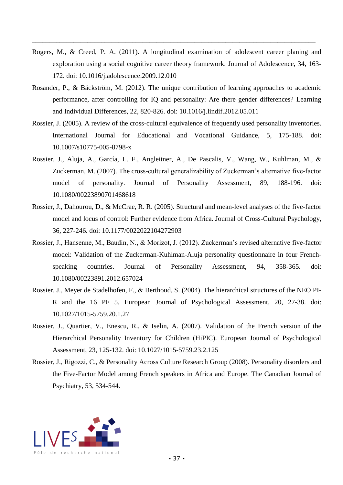Rogers, M., & Creed, P. A. (2011). A longitudinal examination of adolescent career planing and exploration using a social cognitive career theory framework. Journal of Adolescence, 34, 163- 172. doi: [10.1016/j.adolescence.2009.12.010](https://crypto.unil.ch/10.1016/,DanaInfo=dx.doi.org+j.adolescence.2009.12.010)

- Rosander, P., & Bäckström, M. (2012). The unique contribution of learning approaches to academic performance, after controlling for IQ and personality: Are there gender differences? Learning and Individual Differences, 22, 820-826. doi: 10.1016/j.lindif.2012.05.011
- Rossier, J. (2005). A review of the cross-cultural equivalence of frequently used personality inventories. International Journal for Educational and Vocational Guidance, 5, 175-188. doi: 10.1007/s10775-005-8798-x
- Rossier, J., Aluja, A., García, L. F., Angleitner, A., De Pascalis, V., Wang, W., Kuhlman, M., & Zuckerman, M. (2007). The cross-cultural generalizability of Zuckerman's alternative five-factor model of personality. Journal of Personality Assessment, 89, 188-196. doi: 10.1080/00223890701468618
- Rossier, J., Dahourou, D., & McCrae, R. R. (2005). Structural and mean-level analyses of the five-factor model and locus of control: Further evidence from Africa. Journal of Cross-Cultural Psychology, 36, 227-246. doi: 10.1177/0022022104272903
- Rossier, J., Hansenne, M., Baudin, N., & Morizot, J. (2012). Zuckerman's revised alternative five-factor model: Validation of the Zuckerman-Kuhlman-Aluja personality questionnaire in four Frenchspeaking countries. Journal of Personality Assessment, 94, 358-365. doi: 10.1080/00223891.2012.657024
- Rossier, J., Meyer de Stadelhofen, F., & Berthoud, S. (2004). The hierarchical structures of the NEO PI-R and the 16 PF 5. European Journal of Psychological Assessment, 20, 27-38. doi: 10.1027/1015-5759.20.1.27
- Rossier, J., Quartier, V., Enescu, R., & Iselin, A. (2007). Validation of the French version of the Hierarchical Personality Inventory for Children (HiPIC). European Journal of Psychological Assessment, 23, 125-132. doi: 10.1027/1015-5759.23.2.125
- Rossier, J., Rigozzi, C., & Personality Across Culture Research Group (2008). Personality disorders and the Five-Factor Model among French speakers in Africa and Europe. The Canadian Journal of Psychiatry, 53, 534-544.

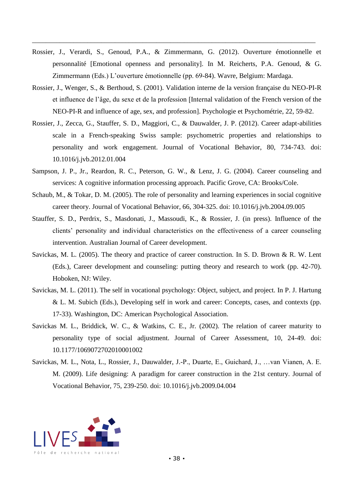Rossier, J., Verardi, S., Genoud, P.A., & Zimmermann, G. (2012). Ouverture émotionnelle et personnalité [Emotional openness and personality]. In M. Reicherts, P.A. Genoud, & G. Zimmermann (Eds.) L'ouverture émotionnelle (pp. 69-84). Wavre, Belgium: Mardaga.

- Rossier, J., Wenger, S., & Berthoud, S. (2001). Validation interne de la version française du NEO-PI-R et influence de l'âge, du sexe et de la profession [Internal validation of the French version of the NEO-PI-R and influence of age, sex, and profession]. Psychologie et Psychométrie, 22, 59-82.
- Rossier, J., Zecca, G., Stauffer, S. D., Maggiori, C., & Dauwalder, J. P. (2012). Career adapt-abilities scale in a French-speaking Swiss sample: psychometric properties and relationships to personality and work engagement. Journal of Vocational Behavior, 80, 734-743. doi: 10.1016/j.jvb.2012.01.004
- Sampson, J. P., Jr., Reardon, R. C., Peterson, G. W., & Lenz, J. G. (2004). Career counseling and services: A cognitive information processing approach. Pacific Grove, CA: Brooks/Cole.
- Schaub, M., & Tokar, D. M. (2005). The role of personality and learning experiences in social cognitive career theory. Journal of Vocational Behavior, 66, 304-325. doi: 10.1016/j.jvb.2004.09.005
- Stauffer, S. D., Perdrix, S., Masdonati, J., Massoudi, K., & Rossier, J. (in press). Influence of the clients' personality and individual characteristics on the effectiveness of a career counseling intervention. Australian Journal of Career development.
- Savickas, M. L. (2005). The theory and practice of career construction. In S. D. Brown & R. W. Lent (Eds.), Career development and counseling: putting theory and research to work (pp. 42-70). Hoboken, NJ: Wiley.
- Savickas, M. L. (2011). The self in vocational psychology: Object, subject, and project. In P. J. Hartung & L. M. Subich (Eds.), Developing self in work and career: Concepts, cases, and contexts (pp. 17-33). Washington, DC: American Psychological Association.
- Savickas M. L., Briddick, W. C., & Watkins, C. E., Jr. (2002). The relation of career maturity to personality type of social adjustment. Journal of Career Assessment, 10, 24-49. doi: 10.1177/1069072702010001002
- Savickas, M. L., Nota, L., Rossier, J., Dauwalder, J.-P., Duarte, E., Guichard, J., …van Vianen, A. E. M. (2009). Life designing: A paradigm for career construction in the 21st century. Journal of Vocational Behavior, 75, 239-250. doi: 10.1016/j.jvb.2009.04.004

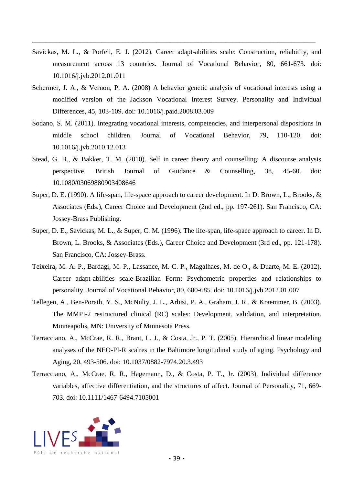Savickas, M. L., & Porfeli, E. J. (2012). Career adapt-abilities scale: Construction, reliabitliy, and measurement across 13 countries. Journal of Vocational Behavior, 80, 661-673. doi: 10.1016/j.jvb.2012.01.011

- Schermer, J. A., & Vernon, P. A. (2008) A behavior genetic analysis of vocational interests using a modified version of the Jackson Vocational Interest Survey. Personality and Individual Differences, 45, 103-109. doi: 10.1016/j.paid.2008.03.009
- Sodano, S. M. (2011). Integrating vocational interests, competencies, and interpersonal dispositions in middle school children. Journal of Vocational Behavior, 79, 110-120. doi: 10.1016/j.jvb.2010.12.013
- Stead, G. B., & Bakker, T. M. (2010). Self in career theory and counselling: A discourse analysis perspective. British Journal of Guidance & Counselling, 38, 45-60. doi: 10.1080/03069880903408646
- Super, D. E. (1990). A life-span, life-space approach to career development. In D. Brown, L., Brooks, & Associates (Eds.), Career Choice and Development (2nd ed., pp. 197-261). San Francisco, CA: Jossey-Brass Publishing.
- Super, D. E., Savickas, M. L., & Super, C. M. (1996). The life-span, life-space approach to career. In D. Brown, L. Brooks, & Associates (Eds.), Career Choice and Development (3rd ed., pp. 121-178). San Francisco, CA: Jossey-Brass.
- Teixeira, M. A. P., Bardagi, M. P., Lassance, M. C. P., Magalhaes, M. de O., & Duarte, M. E. (2012). Career adapt-abilities scale-Brazilian Form: Psychometric properties and relationships to personality. Journal of Vocational Behavior, 80, 680-685. doi: 10.1016/j.jvb.2012.01.007
- Tellegen, A., Ben-Porath, Y. S., McNulty, J. L., Arbisi, P. A., Graham, J. R., & Kraemmer, B. (2003). The MMPI-2 restructured clinical (RC) scales: Development, validation, and interpretation. Minneapolis, MN: University of Minnesota Press.
- Terracciano, A., McCrae, R. R., Brant, L. J., & Costa, Jr., P. T. (2005). Hierarchical linear modeling analyses of the NEO-PI-R scalres in the Baltimore longitudinal study of aging. Psychology and Aging, 20, 493-506. doi: 10.1037/0882-7974.20.3.493
- Terracciano, A., McCrae, R. R., Hagemann, D., & Costa, P. T., Jr. (2003). Individual difference variables, affective differentiation, and the structures of affect. Journal of Personality, 71, 669- 703. doi: 10.1111/1467-6494.7105001